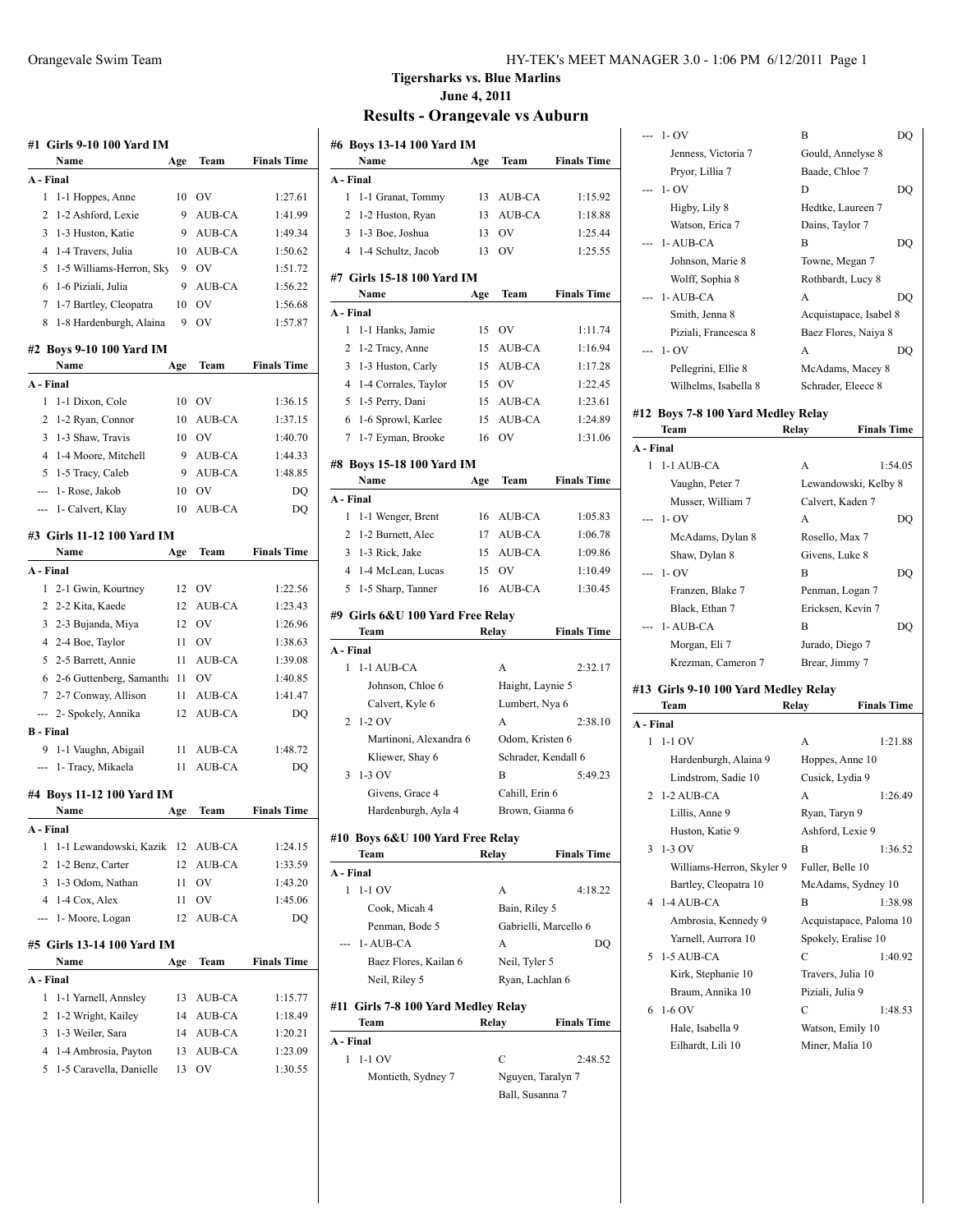|                | #1   Girls 9-10 100 Yard IM<br>Name    |         | Team      | <b>Finals Time</b> |
|----------------|----------------------------------------|---------|-----------|--------------------|
|                | A - Final                              | Age     |           |                    |
| $\mathbf{1}$   |                                        |         | <b>OV</b> |                    |
| 2              | 1-1 Hoppes, Anne<br>1-2 Ashford, Lexie | 10<br>9 | AUB-CA    | 1:27.61            |
|                |                                        |         |           | 1:41.99            |
| 3              | 1-3 Huston, Katie                      | 9       | AUB-CA    | 1:49.34            |
| 4              | 1-4 Travers, Julia                     | 10      | AUB-CA    | 1:50.62            |
| 5              | 1-5 Williams-Herron, Sky               | 9       | OV        | 1:51.72            |
| 6              | 1-6 Piziali, Julia                     | 9       | AUB-CA    | 1:56.22            |
| 7              | 1-7 Bartley, Cleopatra                 | 10      | OV        | 1:56.68            |
| 8              | 1-8 Hardenburgh, Alaina                | 9       | OV        | 1:57.87            |
|                | #2 Boys 9-10 100 Yard IM<br>Name       | Age     | Team      | <b>Finals Time</b> |
|                | A - Final                              |         |           |                    |
| 1              | 1-1 Dixon, Cole                        | 10      | OV        | 1:36.15            |
| 2              | 1-2 Ryan, Connor                       | 10      | AUB-CA    | 1:37.15            |
| 3              | 1-3 Shaw, Travis                       | 10      | <b>OV</b> | 1:40.70            |
| $\overline{4}$ | 1-4 Moore, Mitchell                    | 9       | AUB-CA    | 1:44.33            |
| 5              | 1-5 Tracy, Caleb                       | 9       | AUB-CA    | 1:48.85            |
|                |                                        |         |           |                    |
| ---            | 1- Rose, Jakob                         | 10      | OV        | DQ                 |
| ---            | 1- Calvert, Klay                       | 10      | AUB-CA    | DQ                 |
|                | #3   Girls 11-12 100 Yard IM           |         |           |                    |
|                | Name                                   | Age     | Team      | <b>Finals Time</b> |
|                | A - Final                              |         |           |                    |
| 1              | 2-1 Gwin, Kourtney                     | 12      | <b>OV</b> | 1:22.56            |
|                | 2 2-2 Kita, Kaede                      | 12      | AUB-CA    | 1:23.43            |
| 3              | 2-3 Bujanda, Miya                      | 12      | <b>OV</b> | 1:26.96            |
|                | 4 2-4 Boe, Taylor                      | 11      | OV        | 1:38.63            |
|                | 5 2-5 Barrett, Annie                   | 11      | AUB-CA    | 1:39.08            |
|                | 6 2-6 Guttenberg, Samantha             | 11      | <b>OV</b> | 1:40.85            |
|                | 7 2-7 Conway, Allison                  | 11      | AUB-CA    | 1:41.47            |
|                | --- 2- Spokely, Annika                 | 12      | AUB-CA    | DQ                 |
|                | B - Final                              |         |           |                    |
| 9              | 1-1 Vaughn, Abigail                    | 11      | AUB-CA    | 1:48.72            |
|                | 1- Tracy, Mikaela                      | 11      | AUB-CA    | DQ                 |
|                |                                        |         |           |                    |
|                | #4  Boys 11-12 100 Yard IM<br>Name     | Age     | Team      | <b>Finals Time</b> |
|                | A - Final                              |         |           |                    |
| 1              | 1-1 Lewandowski, Kazik 12              |         | AUB-CA    | 1:24.15            |
| 2              | 1-2 Benz, Carter                       | 12      | AUB-CA    | 1:33.59            |
| 3              | 1-3 Odom, Nathan                       | 11      | OV        | 1:43.20            |
| 4              | 1-4 Cox, Alex                          | 11      | OV        | 1:45.06            |
| ---            | 1- Moore, Logan                        | 12      | AUB-CA    | DO                 |
|                |                                        |         |           |                    |
|                | #5  Girls 13-14 100 Yard IM<br>Name    | Age     | Team      | <b>Finals Time</b> |
|                | A - Final                              |         |           |                    |
| 1              | 1-1 Yarnell, Annsley                   | 13      | AUB-CA    | 1:15.77            |
| 2              |                                        |         |           |                    |
|                | 1-2 Wright, Kailey                     | 14      | AUB-CA    | 1:18.49            |
| 3              | 1-3 Weiler, Sara                       | 14      | AUB-CA    | 1:20.21            |
|                | 1-4 Ambrosia, Payton                   | 13      | AUB-CA    | 1:23.09            |
| 4              |                                        |         |           |                    |
| 5              | 1-5 Caravella, Danielle                | 13      | OV        | 1:30.55            |

#### Orangevale Swim Team HY-TEK's MEET MANAGER 3.0 - 1:06 PM 6/12/2011 Page 1

# **Tigersharks vs. Blue Marlins June 4, 2011**

| #6  Boys 13-14 100 Yard IM                |       |                       |                    |
|-------------------------------------------|-------|-----------------------|--------------------|
| Name                                      | Age   | Team                  | <b>Finals Time</b> |
| A - Final                                 |       |                       |                    |
| 1<br>1-1 Granat, Tommy                    | 13    | AUB-CA                | 1:15.92            |
| 2<br>1-2 Huston, Ryan                     | 13    | AUB-CA                | 1:18.88            |
| 3<br>1-3 Boe, Joshua                      | 13    | OV                    | 1:25.44            |
| 1-4 Schultz, Jacob<br>4                   | 13    | OV                    | 1:25.55            |
| #7 Girls 15-18 100 Yard IM                |       |                       |                    |
| Name                                      | Age   | Team                  | <b>Finals Time</b> |
| A - Final                                 |       |                       |                    |
| 1<br>1-1 Hanks, Jamie                     | 15    | OV                    | 1:11.74            |
| 2<br>1-2 Tracy, Anne                      | 15    | AUB-CA                | 1:16.94            |
| 3<br>1-3 Huston, Carly                    | 15    | AUB-CA                | 1:17.28            |
| 4 1-4 Corrales, Taylor                    | 15    | <b>OV</b>             | 1:22.45            |
| 5<br>1-5 Perry, Dani                      | 15    | AUB-CA                | 1:23.61            |
| 6<br>1-6 Sprowl, Karlee                   | 15    | AUB-CA                | 1:24.89            |
| 7<br>1-7 Eyman, Brooke                    | 16    | OV                    | 1:31.06            |
|                                           |       |                       |                    |
| #8  Boys 15-18 100 Yard IM                |       |                       |                    |
| Name                                      | Age   | Team                  | <b>Finals Time</b> |
| A - Final                                 |       |                       |                    |
| 1<br>1-1 Wenger, Brent                    | 16    | AUB-CA                | 1:05.83            |
| 2<br>1-2 Burnett, Alec                    | 17    | AUB-CA                | 1:06.78            |
| 3<br>1-3 Rick, Jake                       | 15    | AUB-CA                | 1:09.86            |
| 1-4 McLean, Lucas<br>4                    | 15    | <b>OV</b>             | 1:10.49            |
| 1-5 Sharp, Tanner<br>5                    | 16    | <b>AUB-CA</b>         | 1:30.45            |
| #9  Girls 6&U 100 Yard Free Relay         |       |                       |                    |
| Team                                      | Relay |                       | <b>Finals Time</b> |
| A - Final                                 |       |                       |                    |
| 1-1 AUB-CA<br>1                           |       | A                     | 2:32.17            |
| Johnson, Chloe 6                          |       | Haight, Laynie 5      |                    |
| Calvert, Kyle 6                           |       | Lumbert, Nya 6        |                    |
| $1-2$ OV<br>2                             |       | A                     | 2:38.10            |
| Martinoni, Alexandra 6                    |       | Odom, Kristen 6       |                    |
| Kliewer, Shay 6                           |       | Schrader, Kendall 6   |                    |
| $1-3$ OV<br>3                             |       | В                     | 5:49.23            |
| Givens, Grace 4                           |       | Cahill, Erin 6        |                    |
| Hardenburgh, Ayla 4                       |       | Brown, Gianna 6       |                    |
|                                           |       |                       |                    |
|                                           |       |                       |                    |
| #10  Boys 6&U 100 Yard Free Relay<br>Team | Relay |                       | <b>Finals Time</b> |
| A - Final                                 |       |                       |                    |
| $\mathbf{1}$<br>$1-1$ OV                  |       | A                     | 4:18.22            |
| Cook, Micah 4                             |       | Bain, Riley 5         |                    |
| Penman, Bode 5                            |       | Gabrielli, Marcello 6 |                    |
| 1-AUB-CA                                  |       | А                     | DQ                 |
| Baez Flores, Kailan 6                     |       | Neil, Tyler 5         |                    |
| Neil, Riley 5                             |       | Ryan, Lachlan 6       |                    |
|                                           |       |                       |                    |
| #11  Girls 7-8 100 Yard Medley Relay      |       |                       |                    |
| Team                                      | Relay |                       | <b>Finals Time</b> |
| A - Final                                 |       |                       |                    |
| 1<br>$1-1$ OV                             |       | C                     | 2:48.52            |
| Montieth, Sydney 7                        |       | Nguyen, Taralyn 7     |                    |
|                                           |       | Ball, Susanna 7       |                    |

|           | $-1-OV$                              | B                           |
|-----------|--------------------------------------|-----------------------------|
|           |                                      | DQ                          |
|           | Jenness, Victoria 7                  | Gould, Annelyse 8           |
|           | Pryor, Lillia 7                      | Baade, Chloe 7              |
| ---       | $1 - OV$                             | D<br>DQ                     |
|           | Higby, Lily 8                        | Hedtke, Laureen 7           |
|           | Watson, Erica 7                      | Dains, Taylor 7             |
|           | 1-AUB-CA                             | B<br>DQ                     |
|           | Johnson, Marie 8                     | Towne, Megan 7              |
|           | Wolff, Sophia 8                      | Rothbardt, Lucy 8           |
| ---       | 1-AUB-CA                             | A<br>DQ                     |
|           | Smith, Jenna 8                       | Acquistapace, Isabel 8      |
|           | Piziali, Francesca 8                 | Baez Flores, Naiya 8        |
|           | $1 - OV$                             | A<br>DQ                     |
|           | Pellegrini, Ellie 8                  | McAdams, Macey 8            |
|           | Wilhelms, Isabella 8                 | Schrader, Eleece 8          |
|           |                                      |                             |
|           | #12 Boys 7-8 100 Yard Medley Relay   |                             |
|           | Team                                 | <b>Finals Time</b><br>Relay |
| A - Final |                                      |                             |
| 1         | 1-1 AUB-CA                           | A<br>1:54.05                |
|           | Vaughn, Peter 7                      | Lewandowski, Kelby 8        |
|           | Musser, William 7                    | Calvert, Kaden 7            |
|           | $1 - OV$                             | A<br>DQ                     |
|           | McAdams, Dylan 8                     | Rosello, Max 7              |
|           | Shaw, Dylan 8                        | Givens, Luke 8              |
| ---       | 1- OV                                | B<br>DQ                     |
|           | Franzen, Blake 7                     | Penman, Logan 7             |
|           | Black, Ethan 7                       | Ericksen, Kevin 7           |
|           | 1-AUB-CA                             | B<br>DQ                     |
|           | Morgan, Eli 7                        | Jurado, Diego 7             |
|           |                                      | Brear, Jimmy 7              |
|           | Krezman, Cameron 7                   |                             |
|           | #13 Girls 9-10 100 Yard Medley Relay |                             |
|           | Team                                 | <b>Finals Time</b><br>Relay |
| A - Final |                                      |                             |
|           | 1 1-1 OV                             | A<br>1:21.88                |
|           | Hardenburgh, Alaina 9                | Hoppes, Anne 10             |
|           | Lindstrom, Sadie 10                  | Cusick, Lydia 9             |
| 2         | 1-2 AUB-CA                           | А<br>1:26.49                |
|           | Lillis, Anne 9                       | Ryan, Taryn 9               |
|           | Huston, Katie 9                      | Ashford, Lexie 9            |
| 3         | 1-3 OV                               | B<br>1:36.52                |
|           | Williams-Herron, Skyler 9            | Fuller, Belle 10            |
|           | Bartley, Cleopatra 10                | McAdams, Sydney 10          |
| 4         | 1-4 AUB-CA                           | B<br>1:38.98                |
|           | Ambrosia, Kennedy 9                  | Acquistapace, Paloma 10     |
|           | Yarnell, Aurrora 10                  | Spokely, Eralise 10         |
| 5         | 1-5 AUB-CA                           | C<br>1:40.92                |
|           | Kirk, Stephanie 10                   | Travers, Julia 10           |
|           | Braum, Annika 10                     | Piziali, Julia 9            |
| 6         | $1-6$ OV                             | С<br>1:48.53                |
|           | Hale, Isabella 9                     | Watson, Emily 10            |
|           | Eilhardt, Lili 10                    | Miner, Malia 10             |
|           |                                      |                             |
|           |                                      |                             |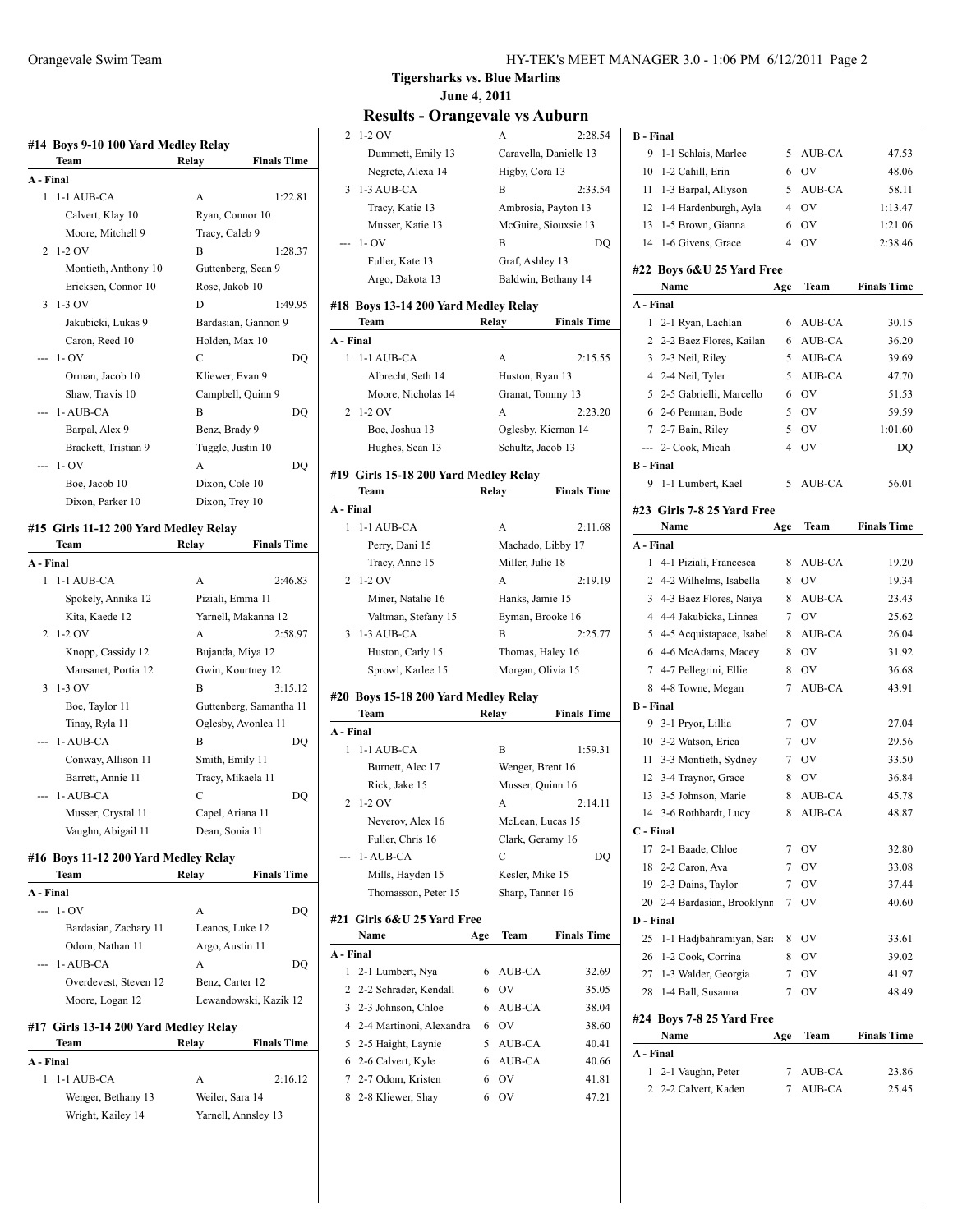| Team                                  | Relay | <b>Finals Time</b>      |
|---------------------------------------|-------|-------------------------|
| A - Final                             |       |                         |
| 1 1-1 AUB-CA                          | A     | 1:22.81                 |
| Calvert, Klay 10                      |       | Ryan, Connor 10         |
| Moore, Mitchell 9                     |       | Tracy, Caleb 9          |
| $1-2$ OV<br>2                         | В     | 1:28.37                 |
| Montieth, Anthony 10                  |       | Guttenberg, Sean 9      |
| Ericksen, Connor 10                   |       | Rose, Jakob 10          |
| $1-3$ OV<br>3                         | D     | 1:49.95                 |
| Jakubicki, Lukas 9                    |       | Bardasian, Gannon 9     |
| Caron, Reed 10                        |       | Holden, Max 10          |
| $1 - OV$<br>---                       | C     | DQ                      |
| Orman, Jacob 10                       |       | Kliewer, Evan 9         |
| Shaw, Travis 10                       |       | Campbell, Quinn 9       |
| 1-AUB-CA                              | B     | DQ                      |
| Barpal, Alex 9                        |       | Benz, Brady 9           |
|                                       |       |                         |
| Brackett, Tristian 9                  |       | Tuggle, Justin 10       |
| $1 - OV$<br>---                       | A     | DO                      |
| Boe, Jacob 10                         |       | Dixon, Cole 10          |
| Dixon, Parker 10                      |       | Dixon, Trey 10          |
| #15 Girls 11-12 200 Yard Medley Relay |       |                         |
| Team                                  | Relay | <b>Finals Time</b>      |
| A - Final                             |       |                         |
| 1<br>1-1 AUB-CA                       | A     | 2:46.83                 |
| Spokely, Annika 12                    |       | Piziali, Emma 11        |
| Kita, Kaede 12                        |       | Yarnell, Makanna 12     |
| $1-2$ OV<br>2                         | A     | 2:58.97                 |
| Knopp, Cassidy 12                     |       | Bujanda, Miya 12        |
| Mansanet, Portia 12                   |       | Gwin, Kourtney 12       |
| 3<br>$1-3$ OV                         | В     | 3:15.12                 |
| Boe, Taylor 11                        |       | Guttenberg, Samantha 11 |
| Tinay, Ryla 11                        |       | Oglesby, Avonlea 11     |
| 1-AUB-CA                              | B     |                         |
|                                       |       | DQ                      |
| Conway, Allison 11                    |       | Smith, Emily 11         |
| Barrett, Annie 11                     |       | Tracy, Mikaela 11       |
| 1-AUB-CA                              | C     | DO                      |
| Musser, Crystal 11                    |       | Capel, Ariana 11        |
| Vaughn, Abigail 11                    |       | Dean, Sonia 11          |
| #16 Boys 11-12 200 Yard Medley Relay  |       |                         |
| Team                                  | Relay | <b>Finals Time</b>      |
| A - Final                             |       |                         |
| $- - 1 - OV$                          | A     | DQ                      |
| Bardasian, Zachary 11                 |       | Leanos, Luke 12         |
| Odom, Nathan 11                       |       | Argo, Austin 11         |
| 1-AUB-CA                              | A     | DQ                      |
| Overdevest, Steven 12                 |       | Benz, Carter 12         |
| Moore, Logan 12                       |       | Lewandowski, Kazik 12   |
|                                       |       |                         |
| #17 Girls 13-14 200 Yard Medley Relay |       |                         |
| Team                                  | Relay | <b>Finals Time</b>      |
|                                       |       |                         |
|                                       |       |                         |
| A - Final<br>1<br>1-1 AUB-CA          | A     | 2:16.12                 |
| Wenger, Bethany 13                    |       | Weiler, Sara 14         |

**Tigersharks vs. Blue Marlins June 4, 2011**

|           | Results - Orangevale vs Auburn        |       |                      |                        |
|-----------|---------------------------------------|-------|----------------------|------------------------|
| 2         | 1-2 OV                                |       | A                    | 2:28.54                |
|           | Dummett, Emily 13                     |       |                      | Caravella, Danielle 13 |
|           | Negrete, Alexa 14                     |       | Higby, Cora 13       |                        |
| 3         | 1-3 AUB-CA                            |       | B                    | 2:33.54                |
|           |                                       |       |                      |                        |
|           | Tracy, Katie 13                       |       | Ambrosia, Payton 13  |                        |
|           | Musser, Katie 13                      |       | McGuire, Siouxsie 13 |                        |
|           | $1 - OV$                              |       | B                    | DO                     |
|           | Fuller, Kate 13                       |       | Graf, Ashley 13      |                        |
|           | Argo, Dakota 13                       |       | Baldwin, Bethany 14  |                        |
|           |                                       |       |                      |                        |
|           | #18 Boys 13-14 200 Yard Medley Relay  |       |                      |                        |
|           | Team                                  | Relay |                      | <b>Finals Time</b>     |
| A - Final |                                       |       |                      |                        |
| 1         | 1-1 AUB-CA                            |       | А                    | 2:15.55                |
|           | Albrecht, Seth 14                     |       | Huston, Ryan 13      |                        |
|           | Moore, Nicholas 14                    |       | Granat, Tommy 13     |                        |
| 2         | $1-2$ OV                              |       | A                    | 2:23.20                |
|           | Boe, Joshua 13                        |       | Oglesby, Kiernan 14  |                        |
|           | Hughes, Sean 13                       |       | Schultz, Jacob 13    |                        |
|           |                                       |       |                      |                        |
|           | #19 Girls 15-18 200 Yard Medley Relay |       |                      |                        |
|           | Team                                  | Relay |                      | <b>Finals Time</b>     |
| A - Final |                                       |       |                      |                        |
| 1         | 1-1 AUB-CA                            |       | A                    | 2:11.68                |
|           | Perry, Dani 15                        |       | Machado, Libby 17    |                        |
|           | Tracy, Anne 15                        |       | Miller, Julie 18     |                        |
| 2         | $1-2$ OV                              |       | A                    | 2:19.19                |
|           | Miner, Natalie 16                     |       | Hanks, Jamie 15      |                        |
|           | Valtman, Stefany 15                   |       | Eyman, Brooke 16     |                        |
| 3         | 1-3 AUB-CA                            |       | B                    | 2:25.77                |
|           |                                       |       |                      |                        |
|           | Huston, Carly 15                      |       | Thomas, Haley 16     |                        |
|           | Sprowl, Karlee 15                     |       | Morgan, Olivia 15    |                        |
|           | #20 Boys 15-18 200 Yard Medley Relay  |       |                      |                        |
|           |                                       |       |                      |                        |
|           | Team                                  | Relay |                      | <b>Finals Time</b>     |
| A - Final |                                       |       |                      |                        |
| 1         | 1-1 AUB-CA                            |       | B                    | 1:59.31                |
|           | Burnett, Alec 17                      |       | Wenger, Brent 16     |                        |
|           |                                       |       |                      |                        |
|           | Rick, Jake 15                         |       | Musser, Quinn 16     |                        |
| 2         | $1-2$ OV                              |       | A                    | 2:14.11                |
|           | Neverov, Alex 16                      |       | McLean, Lucas 15     |                        |
|           | Fuller, Chris 16                      |       | Clark, Geramy 16     |                        |
|           | 1-AUB-CA                              |       | C                    | DQ                     |
|           | Mills, Hayden 15                      |       | Kesler, Mike 15      |                        |
|           | Thomasson, Peter 15                   |       | Sharp, Tanner 16     |                        |
|           |                                       |       |                      |                        |
|           | #21  Girls 6&U 25 Yard Free<br>Name   | Age   | Team                 | <b>Finals Time</b>     |
|           |                                       |       |                      |                        |
| A - Final |                                       |       |                      |                        |
| 1         | 2-1 Lumbert, Nya                      | 6     | AUB-CA               | 32.69                  |
| 2         | 2-2 Schrader, Kendall                 | 6     | OV                   | 35.05                  |
| 3         | 2-3 Johnson, Chloe                    | 6     | AUB-CA               | 38.04                  |
| 4         | 2-4 Martinoni, Alexandra              | 6     | <b>OV</b>            | 38.60                  |
| 5         | 2-5 Haight, Laynie                    | 5     | AUB-CA               | 40.41                  |
|           | 6 2-6 Calvert, Kyle                   | 6     | AUB-CA               | 40.66                  |
|           | 7 2-7 Odom, Kristen                   | 6     | <b>OV</b>            | 41.81                  |

| <b>B</b> - Final |                                    |                 |               |                    |
|------------------|------------------------------------|-----------------|---------------|--------------------|
| 9                | 1-1 Schlais, Marlee                | 5               | AUB-CA        | 47.53              |
| 10               | 1-2 Cahill, Erin                   | 6               | OV            | 48.06              |
| 11               | 1-3 Barpal, Allyson                | 5               | AUB-CA        | 58.11              |
| 12               | 1-4 Hardenburgh, Ayla              | $\overline{4}$  | <b>OV</b>     | 1:13.47            |
| 13               | 1-5 Brown, Gianna                  | 6               | <b>OV</b>     | 1:21.06            |
| 14               | 1-6 Givens, Grace                  | 4               | OV            | 2:38.46            |
|                  | #22 Boys 6&U 25 Yard Free          |                 |               |                    |
|                  | Name                               | Age             | Team          | <b>Finals Time</b> |
| A - Final        |                                    |                 |               |                    |
| 1                | 2-1 Ryan, Lachlan                  | 6               | AUB-CA        | 30.15              |
| 2                | 2-2 Baez Flores, Kailan            | 6               | AUB-CA        | 36.20              |
| 3                | 2-3 Neil, Riley                    | 5               | AUB-CA        | 39.69              |
|                  | 4 2-4 Neil, Tyler                  | 5               | AUB-CA        | 47.70              |
| 5                | 2-5 Gabrielli, Marcello            | 6               | OV            | 51.53              |
| 6                | 2-6 Penman, Bode                   | 5               | <b>OV</b>     | 59.59              |
|                  | 7 2-7 Bain, Riley                  | 5               | OV            | 1:01.60            |
|                  | --- 2- Cook, Micah                 | $\overline{4}$  | OV            | DO                 |
| <b>B</b> - Final |                                    |                 |               |                    |
| 9                | 1-1 Lumbert, Kael                  | 5               | <b>AUB-CA</b> | 56.01              |
|                  |                                    |                 |               |                    |
|                  | #23 Girls 7-8 25 Yard Free<br>Name | Age             | Team          | <b>Finals Time</b> |
| A - Final        |                                    |                 |               |                    |
| 1                | 4-1 Piziali, Francesca             | 8               | AUB-CA        | 19.20              |
|                  | 2 4-2 Wilhelms, Isabella           | 8               | OV            | 19.34              |
| 3                | 4-3 Baez Flores, Naiya             | 8               | AUB-CA        | 23.43              |
| 4                | 4-4 Jakubicka, Linnea              | 7               | OV            | 25.62              |
| 5                | 4-5 Acquistapace, Isabel           | 8               | AUB-CA        | 26.04              |
| 6                | 4-6 McAdams, Macey                 | 8               | OV            | 31.92              |
|                  | 7 4-7 Pellegrini, Ellie            | 8               | OV            | 36.68              |
| 8                | 4-8 Towne, Megan                   | 7               | AUB-CA        | 43.91              |
| <b>B</b> - Final |                                    |                 |               |                    |
| 9                | 3-1 Pryor, Lillia                  | 7               | OV            | 27.04              |
|                  | 10 3-2 Watson, Erica               | $7^{\circ}$     | <b>OV</b>     | 29.56              |
| 11               | 3-3 Montieth, Sydney               | 7               | <b>OV</b>     | 33.50              |
| 12               | 3-4 Traynor, Grace                 | 8               | OV            | 36.84              |
| 13               | 3-5 Johnson, Marie                 | 8               | AUB-CA        | 45.78              |
| 14               | 3-6 Rothbardt, Lucy                | 8               | <b>AUB-CA</b> | 48.87              |
| C - Final        |                                    |                 |               |                    |
| 17               | 2-1 Baade, Chloe                   | 7               | OV            | 32.80              |
| 18               | 2-2 Caron, Ava                     | $7\phantom{.0}$ | OV            | 33.08              |
| 19               | 2-3 Dains, Taylor                  | $\tau$          | OV            | 37.44              |
| 20               | 2-4 Bardasian, Brooklynn           | 7               | OV            | 40.60              |
| D - Final        |                                    |                 |               |                    |
| 25               | 1-1 Hadjbahramiyan, Sara           | 8               | 0V            | 33.61              |
| 26               | 1-2 Cook, Corrina                  | 8               | OV            | 39.02              |
|                  |                                    | 7               |               |                    |
| 27               | 1-3 Walder, Georgia                |                 | <b>OV</b>     | 41.97              |
| 28               | 1-4 Ball, Susanna                  | 7               | OV            | 48.49              |
|                  | #24 Boys 7-8 25 Yard Free          |                 |               |                    |
|                  | Name                               | Age             | Team          | <b>Finals Time</b> |
| A - Final        |                                    |                 |               |                    |
| 1                | 2-1 Vaughn, Peter                  | 7               | AUB-CA        | 23.86              |
| 2                | 2-2 Calvert, Kaden                 | 7               | AUB-CA        | 25.45              |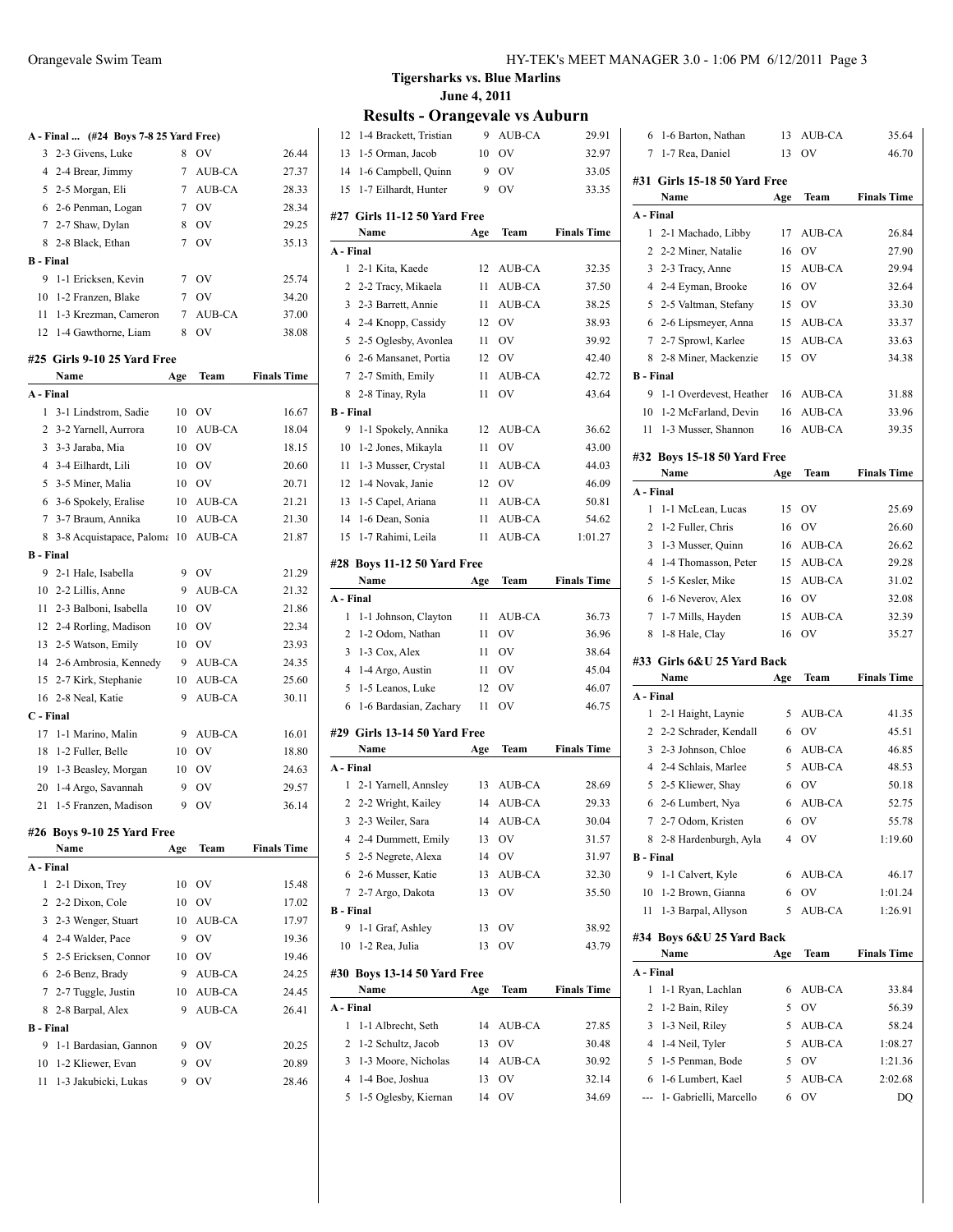|                  | A - Final  (#24 Boys 7-8 25 Yard Free) |     |                |                    |
|------------------|----------------------------------------|-----|----------------|--------------------|
| 3                | 2-3 Givens, Luke                       | 8   | OV             | 26.44              |
|                  | 4 2-4 Brear, Jimmy                     | 7   | AUB-CA         | 27.37              |
|                  | 5 2-5 Morgan, Eli                      | 7   | AUB-CA         | 28.33              |
|                  | 6 2-6 Penman, Logan                    | 7   | OV             | 28.34              |
| $\overline{7}$   | 2-7 Shaw, Dylan                        | 8   | <b>OV</b>      | 29.25              |
|                  | 8 2-8 Black, Ethan                     | 7   | <b>OV</b>      | 35.13              |
| <b>B</b> - Final |                                        |     |                |                    |
| 9                | 1-1 Ericksen, Kevin                    | 7   | OV             | 25.74              |
| 10               | 1-2 Franzen, Blake                     | 7   | <b>OV</b>      | 34.20              |
| 11 -             | 1-3 Krezman, Cameron                   | 7   | AUB-CA         | 37.00              |
|                  | 12 1-4 Gawthorne, Liam                 | 8   | O <sub>V</sub> | 38.08              |
|                  | #25 Girls 9-10 25 Yard Free            |     |                |                    |
|                  | Name                                   | Age | Team           | <b>Finals Time</b> |
| A - Final        |                                        |     |                |                    |
| 1                | 3-1 Lindstrom, Sadie                   | 10  | <b>OV</b>      | 16.67              |
| $\overline{2}$   | 3-2 Yarnell, Aurrora                   | 10  | AUB-CA         | 18.04              |
| $\overline{3}$   | 3-3 Jaraba, Mia                        | 10  | OV             | 18.15              |
| $\overline{4}$   | 3-4 Eilhardt, Lili                     | 10  | <b>OV</b>      | 20.60              |
| 5                | 3-5 Miner, Malia                       | 10  | <b>OV</b>      | 20.71              |
|                  | 6 3-6 Spokely, Eralise                 | 10  | AUB-CA         | 21.21              |
| $\tau$           | 3-7 Braum, Annika                      | 10  | AUB-CA         | 21.30              |
| 8                |                                        | 10  | AUB-CA         | 21.87              |
| <b>B</b> - Final | 3-8 Acquistapace, Paloma               |     |                |                    |
| 9                | 2-1 Hale, Isabella                     | 9   | <b>OV</b>      | 21.29              |
| 10               |                                        | 9   | AUB-CA         |                    |
|                  | 2-2 Lillis, Anne                       |     |                | 21.32              |
| 11               | 2-3 Balboni, Isabella                  | 10  | <b>OV</b>      | 21.86              |
|                  | 12 2-4 Rorling, Madison                | 10  | <b>OV</b>      | 22.34              |
| 13               | 2-5 Watson, Emily                      | 10  | OV             | 23.93              |
| 14               | 2-6 Ambrosia, Kennedy                  | 9   | AUB-CA         | 24.35              |
| 15               | 2-7 Kirk, Stephanie                    | 10  | AUB-CA         | 25.60              |
|                  | 16 2-8 Neal, Katie                     | 9   | AUB-CA         | 30.11              |
| C - Final        |                                        |     |                |                    |
|                  | 17 1-1 Marino, Malin                   | 9   | AUB-CA         | 16.01              |
|                  | 18 1-2 Fuller, Belle                   | 10  | OV             | 18.80              |
|                  | 19 1-3 Beasley, Morgan                 | 10  | <b>OV</b>      | 24.63              |
|                  | 20 1-4 Argo, Savannah                  | 9   | OV             | 29.57              |
| 21               | 1-5 Franzen, Madison                   | 9   | OV             | 36.14              |
|                  | #26 Boys 9-10 25 Yard Free             |     |                |                    |
|                  | Name                                   | Age | Team           | <b>Finals Time</b> |
| A - Final        |                                        |     |                |                    |
| 1                | 2-1 Dixon, Trey                        | 10  | OV             | 15.48              |
|                  | 2 2-2 Dixon, Cole                      | 10  | OV             | 17.02              |
|                  | 3 2-3 Wenger, Stuart                   | 10  | AUB-CA         | 17.97              |
|                  | 4 2-4 Walder, Pace                     | 9   | OV             | 19.36              |
|                  | 5 2-5 Ericksen, Connor                 | 10  | OV             | 19.46              |
|                  | 6 2-6 Benz, Brady                      | 9   | AUB-CA         | 24.25              |
| $\overline{7}$   | 2-7 Tuggle, Justin                     | 10  | AUB-CA         | 24.45              |
| 8                | 2-8 Barpal, Alex                       | 9   | <b>AUB-CA</b>  | 26.41              |
| <b>B</b> - Final |                                        |     |                |                    |
| 9                | 1-1 Bardasian, Gannon                  | 9   | OV             | 20.25              |
| 10               | 1-2 Kliewer, Evan                      | 9   | OV             | 20.89              |
|                  | 11 1-3 Jakubicki, Lukas                | 9   | OV             | 28.46              |

| 12                    | 1-4 Brackett, Tristian                       | 9        | AUB-CA           | 29.91              |
|-----------------------|----------------------------------------------|----------|------------------|--------------------|
| 13                    | 1-5 Orman, Jacob                             | 10       | OV               | 32.97              |
|                       | 14 1-6 Campbell, Quinn                       | 9        | OV               | 33.05              |
| 15                    | 1-7 Eilhardt, Hunter                         | 9        | OV               | 33.35              |
|                       |                                              |          |                  |                    |
|                       | #27 Girls 11-12 50 Yard Free                 |          |                  |                    |
|                       | Name                                         | Age      | Team             | <b>Finals Time</b> |
| A - Final<br>1        | 2-1 Kita, Kaede                              |          |                  |                    |
|                       |                                              | 12       | AUB-CA           | 32.35              |
| 2                     | 2-2 Tracy, Mikaela                           | 11       | AUB-CA<br>AUB-CA | 37.50              |
|                       | 3 2-3 Barrett, Annie                         | 11<br>12 | OV               | 38.25<br>38.93     |
|                       | 4 2-4 Knopp, Cassidy                         |          | <b>OV</b>        |                    |
|                       | 5 2-5 Oglesby, Avonlea                       | 11       |                  | 39.92              |
| 6                     | 2-6 Mansanet, Portia                         | 12       | <b>OV</b>        | 42.40              |
| 7                     | 2-7 Smith, Emily                             | 11       | AUB-CA           | 42.72              |
| 8                     | 2-8 Tinay, Ryla                              | 11       | OV               | 43.64              |
| <b>B</b> - Final      | 1-1 Spokely, Annika                          |          |                  |                    |
| 9                     |                                              | 12       | AUB-CA           | 36.62              |
| 10                    | 1-2 Jones, Mikayla                           | 11       | <b>OV</b>        | 43.00              |
| 11                    | 1-3 Musser, Crystal                          | 11       | AUB-CA           | 44.03              |
| 12                    | 1-4 Novak, Janie                             | 12       | <sub>OV</sub>    | 46.09              |
| 13                    | 1-5 Capel, Ariana                            | 11       | AUB-CA           | 50.81              |
| 14                    | 1-6 Dean, Sonia                              | 11       | AUB-CA           | 54.62              |
| 15                    | 1-7 Rahimi, Leila                            | 11       | AUB-CA           | 1:01.27            |
|                       | #28 Boys 11-12 50 Yard Free                  |          |                  |                    |
|                       | Name                                         | Age      | Team             | <b>Finals Time</b> |
| A - Final             |                                              |          |                  |                    |
| 1                     | 1-1 Johnson, Clayton                         | 11       | AUB-CA           | 36.73              |
| $\overline{2}$        | 1-2 Odom, Nathan                             | 11       | <b>OV</b>        | 36.96              |
|                       | 3 1-3 Cox, Alex                              | 11       | <b>OV</b>        | 38.64              |
| 4                     | 1-4 Argo, Austin                             | 11       | <b>OV</b>        | 45.04              |
| 5                     | 1-5 Leanos, Luke                             | 12       | OV               | 46.07              |
| 6                     | 1-6 Bardasian, Zachary                       | 11       | OV               | 46.75              |
|                       |                                              |          |                  |                    |
|                       | #29 Girls 13-14 50 Yard Free<br>Name         |          | Team             | <b>Finals Time</b> |
| A - Final             |                                              | Age      |                  |                    |
| 1                     | 2-1 Yarnell, Annsley                         | 13       | AUB-CA           | 28.69              |
|                       | 2 2-2 Wright, Kailey                         |          | 14 AUB-CA        | 29.33              |
|                       | 3 2-3 Weiler, Sara                           |          | 14 AUB-CA        | 30.04              |
|                       |                                              |          | OV               |                    |
|                       | 4 2-4 Dummett, Emily<br>5 2-5 Negrete, Alexa | 13<br>14 |                  | 31.57              |
|                       |                                              |          | OV               | 31.97              |
| 6                     | 2-6 Musser, Katie                            | 13       | AUB-CA<br>OV     | 32.30              |
| 7                     | 2-7 Argo, Dakota                             | 13       |                  | 35.50              |
| <b>B</b> - Final<br>9 |                                              |          |                  |                    |
|                       | 1-1 Graf, Ashley                             | 13       | OV               | 38.92              |
| 10                    | 1-2 Rea, Julia                               | 13       | OV               | 43.79              |
|                       | #30 Boys 13-14 50 Yard Free                  |          |                  |                    |
|                       | Name                                         | Age      | Team             | <b>Finals Time</b> |
| A - Final             |                                              |          |                  |                    |
| 1                     | 1-1 Albrecht, Seth                           | 14       | AUB-CA           | 27.85              |
| 2                     | 1-2 Schultz, Jacob                           | 13       | OV               | 30.48              |
| 3                     | 1-3 Moore, Nicholas                          | 14       | AUB-CA           | 30.92              |
| 4                     | 1-4 Boe, Joshua                              | 13       | OV               | 32.14              |
| 5                     |                                              | 14       | OV               | 34.69              |
|                       | 1-5 Oglesby, Kiernan                         |          |                  |                    |

|                  | 1-6 Barton, Nathan           | 13  | AUB-CA    | 35.64              |
|------------------|------------------------------|-----|-----------|--------------------|
| 7                | 1-7 Rea, Daniel              | 13  | OV        | 46.70              |
|                  | #31 Girls 15-18 50 Yard Free |     |           |                    |
|                  | Name                         | Age | Team      | <b>Finals Time</b> |
| A - Final        |                              |     |           |                    |
| 1                | 2-1 Machado, Libby           | 17  | AUB-CA    | 26.84              |
|                  | 2 2-2 Miner, Natalie         | 16  | OV        | 27.90              |
| 3                | 2-3 Tracy, Anne              | 15  | AUB-CA    | 29.94              |
| 4                | 2-4 Eyman, Brooke            | 16  | OV        | 32.64              |
| 5                | 2-5 Valtman, Stefany         | 15  | OV        | 33.30              |
| 6                | 2-6 Lipsmeyer, Anna          | 15  | AUB-CA    | 33.37              |
| 7                | 2-7 Sprowl, Karlee           | 15  | AUB-CA    | 33.63              |
| 8                | 2-8 Miner, Mackenzie         | 15  | OV        | 34.38              |
| <b>B</b> - Final |                              |     |           |                    |
| 9                | 1-1 Overdevest, Heather      | 16  | AUB-CA    | 31.88              |
| 10               | 1-2 McFarland, Devin         | 16  | AUB-CA    | 33.96              |
| 11               | 1-3 Musser, Shannon          | 16  | AUB-CA    | 39.35              |
|                  | #32 Boys 15-18 50 Yard Free  |     |           |                    |
|                  | Name                         | Age | Team      | <b>Finals Time</b> |
| A - Final        |                              |     |           |                    |
| 1                | 1-1 McLean, Lucas            | 15  | OV        | 25.69              |
| 2                | 1-2 Fuller, Chris            | 16  | OV        | 26.60              |
| 3                | 1-3 Musser, Quinn            | 16  | AUB-CA    | 26.62              |
| 4                | 1-4 Thomasson, Peter         | 15  | AUB-CA    | 29.28              |
| 5                | 1-5 Kesler, Mike             | 15  | AUB-CA    | 31.02              |
| 6                | 1-6 Neverov, Alex            | 16  | OV        | 32.08              |
| 7                | 1-7 Mills, Hayden            | 15  | AUB-CA    | 32.39              |
| 8                | 1-8 Hale, Clay               | 16  | OV        | 35.27              |
|                  |                              |     |           |                    |
|                  | #33 Girls 6&U 25 Yard Back   |     |           |                    |
|                  |                              |     |           |                    |
|                  | Name                         | Age | Team      | <b>Finals Time</b> |
| A - Final        |                              |     |           |                    |
| 1                | 2-1 Haight, Laynie           | 5   | AUB-CA    | 41.35              |
| $\overline{2}$   | 2-2 Schrader, Kendall        | 6   | OV        | 45.51              |
| 3                | 2-3 Johnson, Chloe           | 6   | AUB-CA    | 46.85              |
| 4                | 2-4 Schlais, Marlee          | 5   | AUB-CA    | 48.53              |
| 5                | 2-5 Kliewer, Shay            | 6   | <b>OV</b> | 50.18              |
|                  | 6 2-6 Lumbert, Nya           | 6   | AUB-CA    | 52.75              |
| 7                | 2-7 Odom, Kristen            | 6   | OV        | 55.78              |
| 8                | 2-8 Hardenburgh, Ayla        | 4   | OV        | 1:19.60            |
| <b>B</b> - Final |                              |     |           |                    |
| 9                | 1-1 Calvert, Kyle            | 6   | AUB-CA    | 46.17              |
| 10               | 1-2 Brown, Gianna            | 6   | OV        | 1:01.24            |
| 11               | 1-3 Barpal, Allyson          | 5   | AUB-CA    | 1:26.91            |
|                  | #34 Boys 6&U 25 Yard Back    |     |           |                    |
|                  | Name                         | Age | Team      | <b>Finals Time</b> |
| A - Final        |                              |     |           |                    |
| 1                | 1-1 Ryan, Lachlan            | 6   | AUB-CA    | 33.84              |
| 2                | 1-2 Bain, Riley              | 5   | OV        | 56.39              |
| 3                | 1-3 Neil, Riley              | 5   | AUB-CA    | 58.24              |
| 4                | 1-4 Neil, Tyler              | 5   | AUB-CA    | 1:08.27            |
| 5                | 1-5 Penman, Bode             | 5   | OV        | 1:21.36            |
| 6                | 1-6 Lumbert, Kael            | 5   | AUB-CA    | 2:02.68            |
|                  | 1- Gabrielli, Marcello       | 6   | OV        | DQ                 |
|                  |                              |     |           |                    |
|                  |                              |     |           |                    |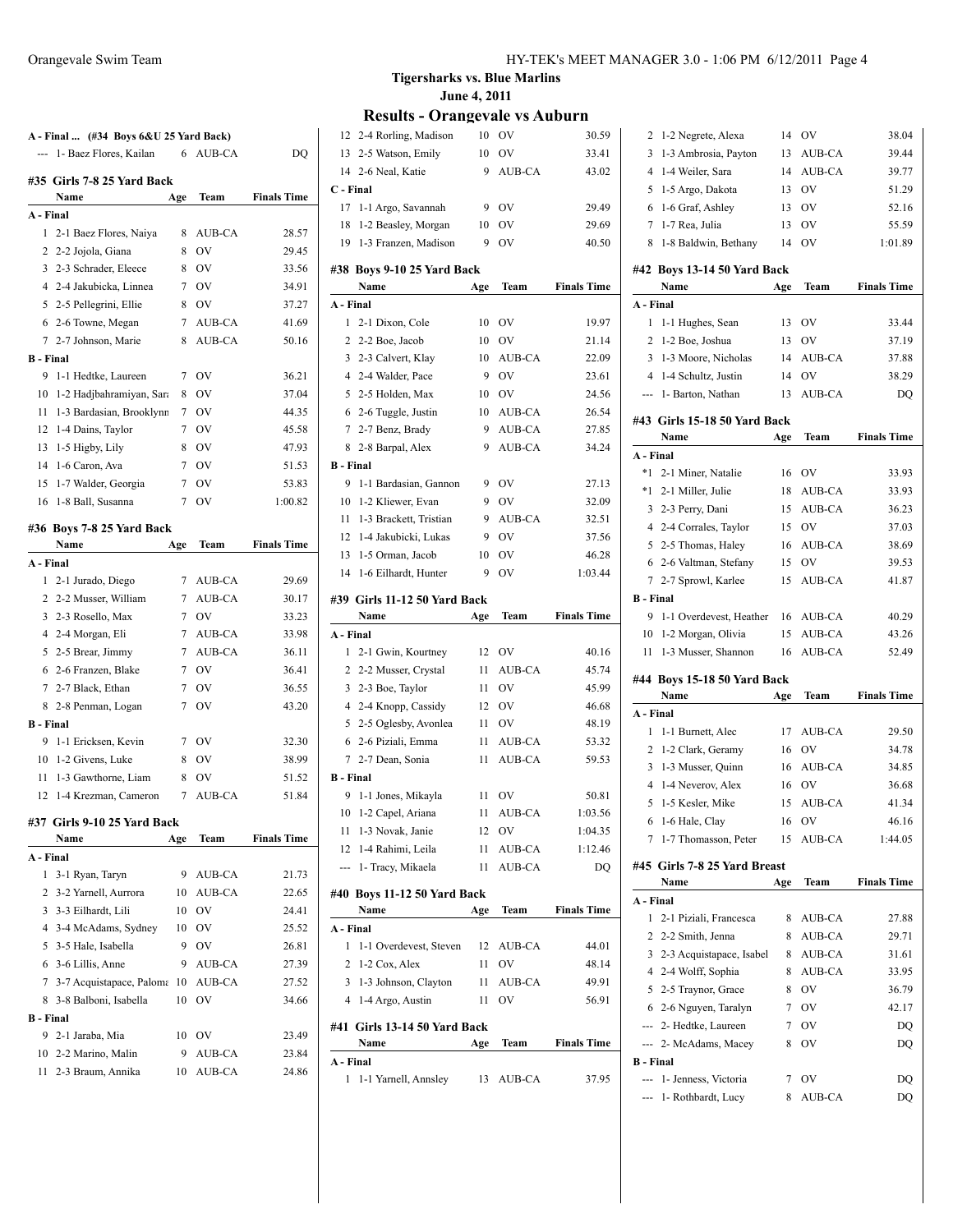|                  | A - Final  (#34 Boys 6&U 25 Yard Back) |             |               |                    |
|------------------|----------------------------------------|-------------|---------------|--------------------|
| $---$            | 1- Baez Flores, Kailan                 | 6           | AUB-CA        | DO                 |
|                  | #35 Girls 7-8 25 Yard Back             |             |               |                    |
|                  | Name                                   | Age         | Team          | <b>Finals Time</b> |
| A - Final        |                                        |             |               |                    |
| 1                | 2-1 Baez Flores, Naiya                 | 8           | AUB-CA        | 28.57              |
| 2                | 2-2 Jojola, Giana                      | 8           | OV            | 29.45              |
|                  | 3 2-3 Schrader, Eleece                 | 8           | <b>OV</b>     | 33.56              |
|                  | 4 2-4 Jakubicka, Linnea                | 7           | OV            | 34.91              |
| 5                | 2-5 Pellegrini, Ellie                  | 8           | <b>OV</b>     | 37.27              |
|                  | 6 2-6 Towne, Megan                     | 7           | AUB-CA        | 41.69              |
|                  | 7 2-7 Johnson, Marie                   | 8           | AUB-CA        | 50.16              |
| <b>B</b> - Final |                                        |             |               |                    |
| 9                | 1-1 Hedtke, Laureen                    | 7           | <b>OV</b>     | 36.21              |
| 10               | 1-2 Hadjbahramiyan, Sara               | 8           | OV            | 37.04              |
| 11               | 1-3 Bardasian, Brooklynn               | $7^{\circ}$ | <b>OV</b>     | 44.35              |
| 12               | 1-4 Dains, Taylor                      | 7           | OV            | 45.58              |
| 13               | 1-5 Higby, Lily                        | 8           | OV            | 47.93              |
| 14               | 1-6 Caron, Ava                         | 7           | <b>OV</b>     | 51.53              |
| 15               | 1-7 Walder, Georgia                    | 7           | OV            | 53.83              |
| 16               | 1-8 Ball, Susanna                      | 7           | <b>OV</b>     | 1:00.82            |
|                  |                                        |             |               |                    |
|                  | #36 Boys 7-8 25 Yard Back              |             |               |                    |
|                  | Name                                   | Age         | Team          | <b>Finals Time</b> |
| A - Final        |                                        |             |               |                    |
|                  | 1 2-1 Jurado, Diego                    | 7           | AUB-CA        | 29.69              |
|                  | 2 2-2 Musser, William                  | 7           | AUB-CA        | 30.17              |
|                  | 3 2-3 Rosello, Max                     | 7           | OV            | 33.23              |
|                  | 4 2-4 Morgan, Eli                      | 7           | AUB-CA        | 33.98              |
| 5                | 2-5 Brear, Jimmy                       | 7           | AUB-CA        | 36.11              |
| 6                | 2-6 Franzen, Blake                     | 7           | OV            | 36.41              |
|                  | 7 2-7 Black, Ethan                     | 7           | OV            | 36.55              |
|                  | 8 2-8 Penman, Logan                    | 7           | <b>OV</b>     | 43.20              |
| <b>B</b> - Final |                                        |             |               |                    |
| 9                | 1-1 Ericksen, Kevin                    | 7           | OV            | 32.30              |
| 10               | 1-2 Givens, Luke                       | 8           | <b>OV</b>     | 38.99              |
| 11               | 1-3 Gawthorne, Liam                    | 8           | OV            | 51.52              |
|                  | 12 1-4 Krezman, Cameron                | 7           | <b>AUB-CA</b> | 51.84              |
|                  | #37  Girls 9-10 25 Yard Back           |             |               |                    |
|                  | Name                                   | Age         | Team          | <b>Finals Time</b> |
| A - Final        |                                        |             |               |                    |
| 1                | 3-1 Ryan, Taryn                        | 9           | AUB-CA        | 21.73              |
| 2                | 3-2 Yarnell, Aurrora                   | 10          | AUB-CA        | 22.65              |
| 3                | 3-3 Eilhardt, Lili                     | 10          | OV            | 24.41              |
| 4                | 3-4 McAdams, Sydney                    | 10          | OV            | 25.52              |
| 5                | 3-5 Hale, Isabella                     | 9           | OV            | 26.81              |
| 6                | 3-6 Lillis, Anne                       | 9           | AUB-CA        | 27.39              |
| 7                | 3-7 Acquistapace, Paloma               | 10          | <b>AUB-CA</b> | 27.52              |
| 8                | 3-8 Balboni, Isabella                  | 10          | OV            | 34.66              |
| <b>B</b> - Final |                                        |             |               |                    |
| 9                | 2-1 Jaraba, Mia                        | 10          | OV            | 23.49              |
| 10               | 2-2 Marino, Malin                      | 9           | AUB-CA        | 23.84              |
| 11               | 2-3 Braum, Annika                      | 10          | <b>AUB-CA</b> | 24.86              |
|                  |                                        |             |               |                    |

| 12               | 2-4 Rorling, Madison                             | 10  | OV            | 30.59              |
|------------------|--------------------------------------------------|-----|---------------|--------------------|
|                  | 13 2-5 Watson, Emily                             | 10  | <b>OV</b>     | 33.41              |
|                  | 14 2-6 Neal, Katie                               | 9   | AUB-CA        | 43.02              |
| C - Final        |                                                  |     |               |                    |
|                  | 17 1-1 Argo, Savannah                            | 9   | <b>OV</b>     | 29.49              |
|                  | 18 1-2 Beasley, Morgan                           | 10  | OV            | 29.69              |
|                  | 19 1-3 Franzen, Madison                          | 9   | OV            | 40.50              |
|                  |                                                  |     |               |                    |
|                  | #38 Boys 9-10 25 Yard Back                       |     |               |                    |
|                  | Name                                             | Age | Team          | <b>Finals Time</b> |
| A - Final        |                                                  |     |               |                    |
| 1                | 2-1 Dixon, Cole                                  | 10  | <b>OV</b>     | 19.97              |
|                  | 2 2-2 Boe, Jacob                                 | 10  | <b>OV</b>     | 21.14              |
|                  | 3 2-3 Calvert, Klay                              | 10  | AUB-CA        | 22.09              |
|                  | 4 2-4 Walder, Pace                               | 9   | <b>OV</b>     | 23.61              |
|                  | 5 2-5 Holden, Max                                | 10  | <b>OV</b>     | 24.56              |
|                  | 6 2-6 Tuggle, Justin                             | 10  | AUB-CA        | 26.54              |
|                  | 7 2-7 Benz, Brady                                | 9   | AUB-CA        | 27.85              |
| 8                | 2-8 Barpal, Alex                                 | 9   | AUB-CA        | 34.24              |
| <b>B</b> - Final |                                                  |     |               |                    |
| 9                | 1-1 Bardasian, Gannon                            | 9   | OV            | 27.13              |
|                  | 10 1-2 Kliewer, Evan                             | 9   | <b>OV</b>     | 32.09              |
| 11               | 1-3 Brackett, Tristian                           | 9   | AUB-CA        | 32.51              |
|                  | 12 1-4 Jakubicki, Lukas                          | 9   | OV            | 37.56              |
|                  | 13 1-5 Orman, Jacob                              | 10  | <b>OV</b>     | 46.28              |
| 14               | 1-6 Eilhardt, Hunter                             | 9   | <b>OV</b>     | 1:03.44            |
|                  | #39 Girls 11-12 50 Yard Back                     |     |               |                    |
|                  | Name                                             | Age | Team          | <b>Finals Time</b> |
| A - Final        |                                                  |     |               |                    |
|                  |                                                  |     |               |                    |
|                  |                                                  |     |               |                    |
| 1                | 2-1 Gwin, Kourtney                               | 12  | <b>OV</b>     | 40.16              |
|                  | 2 2-2 Musser, Crystal                            | 11  | AUB-CA        | 45.74              |
| $\overline{3}$   | 2-3 Boe, Taylor                                  | 11  | OV            | 45.99              |
| $\overline{4}$   | 2-4 Knopp, Cassidy                               | 12  | <b>OV</b>     | 46.68              |
| 5                | 2-5 Oglesby, Avonlea                             | 11  | OV            | 48.19              |
|                  | 6 2-6 Piziali, Emma                              | 11  | AUB-CA        | 53.32              |
|                  | 7 2-7 Dean, Sonia                                | 11  | AUB-CA        | 59.53              |
| <b>B</b> - Final |                                                  |     |               |                    |
| 9.               | 1-1 Jones, Mikayla                               | 11  | OV            | 50.81              |
|                  | 10 1-2 Capel, Ariana                             | 11  | AUB-CA        | 1:03.56            |
|                  | 11 1-3 Novak, Janie                              |     | 12 OV         | 1:04.35            |
|                  | 12 1-4 Rahimi, Leila                             |     | 11 AUB-CA     | 1:12.46            |
|                  | --- 1- Tracy, Mikaela                            | 11  | AUB-CA        | DQ                 |
|                  | #40 Boys 11-12 50 Yard Back                      |     |               |                    |
|                  | Name                                             | Age | Team          | <b>Finals Time</b> |
| A - Final        |                                                  |     |               |                    |
| 1                | 1-1 Overdevest, Steven                           | 12  | AUB-CA        | 44.01              |
|                  | $2 \text{ } 1\text{-}2 \text{ Cox}, \text{Alex}$ | 11  | <sub>OV</sub> | 48.14              |
|                  | 3 1-3 Johnson, Clayton                           | 11  | AUB-CA        | 49.91              |
|                  | 4 1-4 Argo, Austin                               | 11  | <b>OV</b>     | 56.91              |
|                  |                                                  |     |               |                    |
|                  | #41 Girls 13-14 50 Yard Back                     |     |               |                    |
|                  | Name                                             | Age | Team          | <b>Finals Time</b> |
| A - Final<br>1   | 1-1 Yarnell, Annsley                             | 13  | AUB-CA        | 37.95              |

| 2                | 1-2 Negrete, Alexa           | 14  | OV        | 38.04              |
|------------------|------------------------------|-----|-----------|--------------------|
| 3                | 1-3 Ambrosia, Payton         | 13  | AUB-CA    | 39.44              |
| 4                | 1-4 Weiler, Sara             | 14  | AUB-CA    | 39.77              |
| 5                | 1-5 Argo, Dakota             | 13  | <b>OV</b> | 51.29              |
| 6                | 1-6 Graf, Ashley             | 13  | OV        | 52.16              |
| 7                | 1-7 Rea, Julia               | 13  | OV        | 55.59              |
| 8                | 1-8 Baldwin, Bethany         | 14  | OV        | 1:01.89            |
|                  |                              |     |           |                    |
|                  | #42 Boys 13-14 50 Yard Back  |     |           |                    |
|                  | Name                         | Age | Team      | <b>Finals Time</b> |
| A - Final        |                              |     |           |                    |
| 1                | 1-1 Hughes, Sean             | 13  | <b>OV</b> | 33.44              |
| 2                | 1-2 Boe, Joshua              | 13  | <b>OV</b> | 37.19              |
| 3                | 1-3 Moore, Nicholas          | 14  | AUB-CA    | 37.88              |
| 4                | 1-4 Schultz, Justin          | 14  | OV        | 38.29              |
| ---              | 1- Barton, Nathan            | 13  | AUB-CA    | DQ                 |
|                  | #43 Girls 15-18 50 Yard Back |     |           |                    |
|                  | Name                         | Age | Team      | <b>Finals Time</b> |
| A - Final        |                              |     |           |                    |
| $*1$             | 2-1 Miner, Natalie           | 16  | <b>OV</b> | 33.93              |
| $*1$             | 2-1 Miller, Julie            | 18  | AUB-CA    | 33.93              |
| 3                | 2-3 Perry, Dani              | 15  | AUB-CA    | 36.23              |
| 4                | 2-4 Corrales, Taylor         | 15  | <b>OV</b> | 37.03              |
|                  | 5 2-5 Thomas, Haley          | 16  | AUB-CA    | 38.69              |
| 6                | 2-6 Valtman, Stefany         | 15  | OV        | 39.53              |
| $\tau$           | 2-7 Sprowl, Karlee           | 15  | AUB-CA    | 41.87              |
| <b>B</b> - Final |                              |     |           |                    |
| 9                | 1-1 Overdevest, Heather      | 16  | AUB-CA    | 40.29              |
| 10               | 1-2 Morgan, Olivia           | 15  | AUB-CA    | 43.26              |
|                  |                              |     |           |                    |
| 11               | 1-3 Musser, Shannon          | 16  | AUB-CA    | 52.49              |
|                  |                              |     |           |                    |
|                  | #44 Boys 15-18 50 Yard Back  |     |           |                    |
|                  | Name                         | Age | Team      | <b>Finals Time</b> |
| A - Final        |                              |     |           |                    |
| 1                | 1-1 Burnett, Alec            | 17  | AUB-CA    | 29.50              |
| $\overline{2}$   | 1-2 Clark, Geramy            | 16  | OV        | 34.78              |
| 3                | 1-3 Musser, Quinn            | 16  | AUB-CA    | 34.85              |
| $\overline{4}$   | 1-4 Neverov, Alex            | 16  | OV        | 36.68              |
| 5                | 1-5 Kesler, Mike             | 15  | AUB-CA    | 41.34              |
|                  | 6 1-6 Hale, Clay             |     | 16 OV     | 46.16              |
| 7                | 1-7 Thomasson, Peter         | 15  | AUB-CA    | 1:44.05            |
|                  | #45 Girls 7-8 25 Yard Breast |     |           |                    |
|                  | Name                         | Age | Team      | <b>Finals Time</b> |
| A - Final        |                              |     |           |                    |
| 1                | 2-1 Piziali, Francesca       | 8   | AUB-CA    | 27.88              |
| 2                | 2-2 Smith, Jenna             | 8   | AUB-CA    | 29.71              |
| 3                | 2-3 Acquistapace, Isabel     | 8   | AUB-CA    | 31.61              |
|                  | 4 2-4 Wolff, Sophia          | 8   | AUB-CA    | 33.95              |
|                  | 5 2-5 Traynor, Grace         | 8   | OV        | 36.79              |
|                  | 6 2-6 Nguyen, Taralyn        | 7   | OV        | 42.17              |
|                  | --- 2- Hedtke, Laureen       | 7   | OV        | DQ                 |
| ---              | 2- McAdams, Macey            | 8   | OV        | DQ                 |
| <b>B</b> - Final |                              |     |           |                    |
|                  | --- 1- Jenness, Victoria     | 7   | OV        | DQ                 |
|                  | 1- Rothbardt, Lucy           | 8   | AUB-CA    | DQ                 |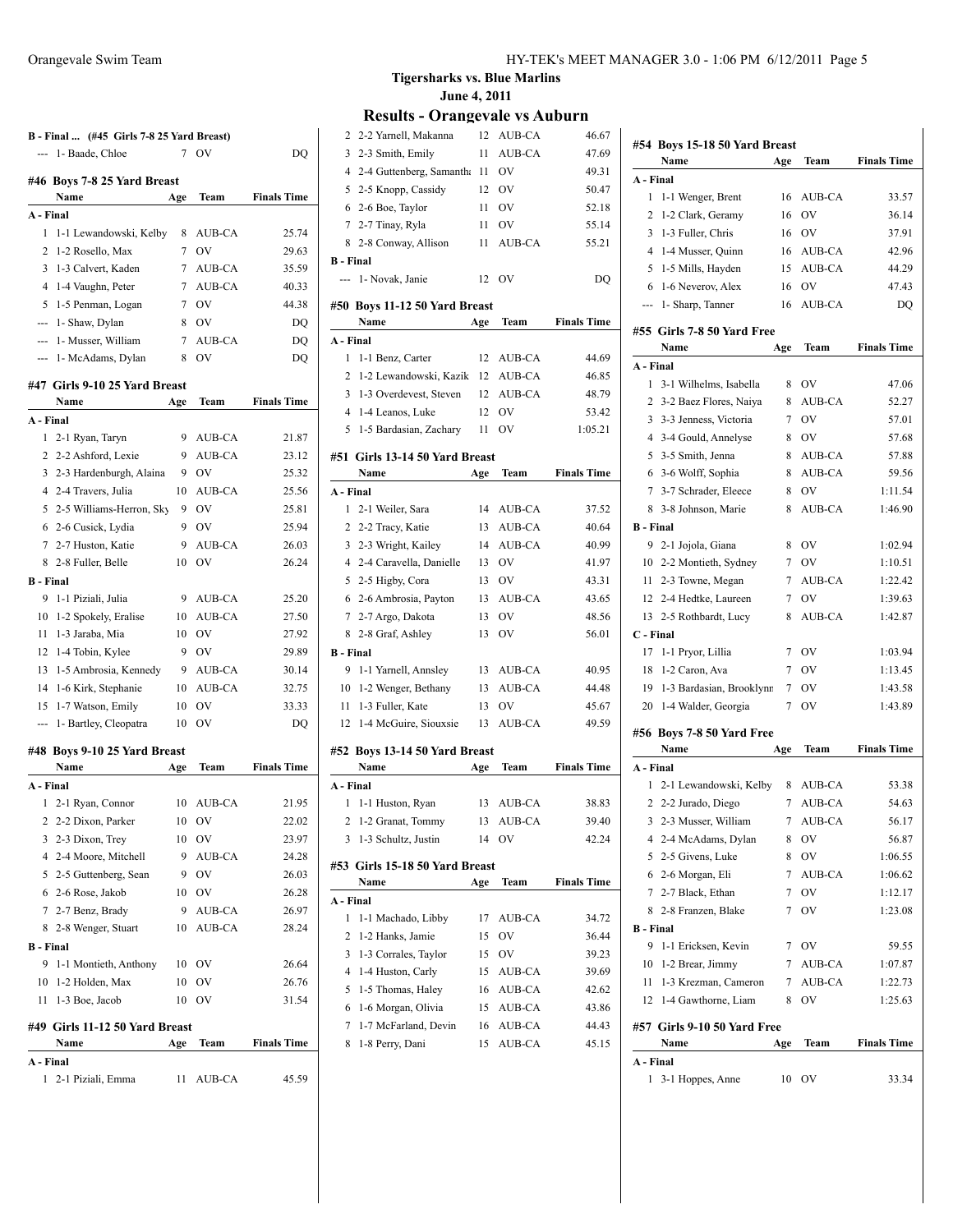|                                                                                                                                                                                                                                                                                                                                                                                                                                                                            | B - Final  (#45 Girls 7-8 25 Yard Breast) |         |              |                    |
|----------------------------------------------------------------------------------------------------------------------------------------------------------------------------------------------------------------------------------------------------------------------------------------------------------------------------------------------------------------------------------------------------------------------------------------------------------------------------|-------------------------------------------|---------|--------------|--------------------|
| $\frac{1}{2} \left( \frac{1}{2} \right) \left( \frac{1}{2} \right) \left( \frac{1}{2} \right) \left( \frac{1}{2} \right) \left( \frac{1}{2} \right) \left( \frac{1}{2} \right) \left( \frac{1}{2} \right) \left( \frac{1}{2} \right) \left( \frac{1}{2} \right) \left( \frac{1}{2} \right) \left( \frac{1}{2} \right) \left( \frac{1}{2} \right) \left( \frac{1}{2} \right) \left( \frac{1}{2} \right) \left( \frac{1}{2} \right) \left( \frac{1}{2} \right) \left( \frac$ | 1- Baade, Chloe                           | 7       | OV           | DO                 |
|                                                                                                                                                                                                                                                                                                                                                                                                                                                                            |                                           |         |              |                    |
|                                                                                                                                                                                                                                                                                                                                                                                                                                                                            | #46 Boys 7-8 25 Yard Breast<br>Name       |         | Team         | <b>Finals Time</b> |
| A - Final                                                                                                                                                                                                                                                                                                                                                                                                                                                                  |                                           | Age     |              |                    |
| 1                                                                                                                                                                                                                                                                                                                                                                                                                                                                          | 1-1 Lewandowski, Kelby                    | 8       | AUB-CA       | 25.74              |
| $\overline{c}$                                                                                                                                                                                                                                                                                                                                                                                                                                                             | 1-2 Rosello, Max                          | 7       | OV           | 29.63              |
| 3                                                                                                                                                                                                                                                                                                                                                                                                                                                                          | 1-3 Calvert, Kaden                        | 7       | AUB-CA       | 35.59              |
| 4                                                                                                                                                                                                                                                                                                                                                                                                                                                                          | 1-4 Vaughn, Peter                         | 7       | AUB-CA       | 40.33              |
| 5                                                                                                                                                                                                                                                                                                                                                                                                                                                                          | 1-5 Penman, Logan                         | 7       | <b>OV</b>    | 44.38              |
| $\frac{1}{2} \left( \frac{1}{2} \right) \left( \frac{1}{2} \right) \left( \frac{1}{2} \right) \left( \frac{1}{2} \right) \left( \frac{1}{2} \right) \left( \frac{1}{2} \right) \left( \frac{1}{2} \right) \left( \frac{1}{2} \right) \left( \frac{1}{2} \right) \left( \frac{1}{2} \right) \left( \frac{1}{2} \right) \left( \frac{1}{2} \right) \left( \frac{1}{2} \right) \left( \frac{1}{2} \right) \left( \frac{1}{2} \right) \left( \frac{1}{2} \right) \left( \frac$ | 1- Shaw, Dylan                            | 8       | OV           | DQ                 |
| $\overline{\phantom{a}}$                                                                                                                                                                                                                                                                                                                                                                                                                                                   | 1- Musser, William                        | 7       | AUB-CA       | DQ                 |
| $\frac{1}{2} \left( \frac{1}{2} \right) \left( \frac{1}{2} \right) \left( \frac{1}{2} \right) \left( \frac{1}{2} \right) \left( \frac{1}{2} \right) \left( \frac{1}{2} \right) \left( \frac{1}{2} \right) \left( \frac{1}{2} \right) \left( \frac{1}{2} \right) \left( \frac{1}{2} \right) \left( \frac{1}{2} \right) \left( \frac{1}{2} \right) \left( \frac{1}{2} \right) \left( \frac{1}{2} \right) \left( \frac{1}{2} \right) \left( \frac{1}{2} \right) \left( \frac$ | 1- McAdams, Dylan                         | 8       | OV           | DQ                 |
|                                                                                                                                                                                                                                                                                                                                                                                                                                                                            |                                           |         |              |                    |
|                                                                                                                                                                                                                                                                                                                                                                                                                                                                            | #47 Girls 9-10 25 Yard Breast             |         |              |                    |
|                                                                                                                                                                                                                                                                                                                                                                                                                                                                            | Name                                      | Age     | Team         | <b>Finals Time</b> |
| A - Final                                                                                                                                                                                                                                                                                                                                                                                                                                                                  |                                           |         |              |                    |
| 1                                                                                                                                                                                                                                                                                                                                                                                                                                                                          | 2-1 Ryan, Taryn                           | 9       | AUB-CA       | 21.87              |
| 2                                                                                                                                                                                                                                                                                                                                                                                                                                                                          | 2-2 Ashford, Lexie                        | 9       | AUB-CA       | 23.12              |
| 3                                                                                                                                                                                                                                                                                                                                                                                                                                                                          | 2-3 Hardenburgh, Alaina                   | 9       | OV           | 25.32              |
| 4                                                                                                                                                                                                                                                                                                                                                                                                                                                                          | 2-4 Travers, Julia                        | 10<br>9 | AUB-CA<br>OV | 25.56              |
| 5                                                                                                                                                                                                                                                                                                                                                                                                                                                                          | 2-5 Williams-Herron, Sky                  | 9       |              | 25.81              |
| $7^{\circ}$                                                                                                                                                                                                                                                                                                                                                                                                                                                                | 6 2-6 Cusick, Lydia                       | 9       | OV           | 25.94              |
| 8                                                                                                                                                                                                                                                                                                                                                                                                                                                                          | 2-7 Huston, Katie<br>2-8 Fuller, Belle    | 10      | AUB-CA<br>OV | 26.03<br>26.24     |
| <b>B</b> - Final                                                                                                                                                                                                                                                                                                                                                                                                                                                           |                                           |         |              |                    |
| 9                                                                                                                                                                                                                                                                                                                                                                                                                                                                          | 1-1 Piziali, Julia                        | 9       | AUB-CA       | 25.20              |
| 10                                                                                                                                                                                                                                                                                                                                                                                                                                                                         | 1-2 Spokely, Eralise                      | 10      | AUB-CA       | 27.50              |
| 11                                                                                                                                                                                                                                                                                                                                                                                                                                                                         | 1-3 Jaraba, Mia                           | 10      | OV           | 27.92              |
| 12                                                                                                                                                                                                                                                                                                                                                                                                                                                                         | 1-4 Tobin, Kylee                          | 9       | OV           | 29.89              |
| 13                                                                                                                                                                                                                                                                                                                                                                                                                                                                         | 1-5 Ambrosia, Kennedy                     | 9       | AUB-CA       | 30.14              |
| 14                                                                                                                                                                                                                                                                                                                                                                                                                                                                         | 1-6 Kirk, Stephanie                       | 10      | AUB-CA       | 32.75              |
| 15                                                                                                                                                                                                                                                                                                                                                                                                                                                                         | 1-7 Watson, Emily                         | 10      | OV           | 33.33              |
| ---                                                                                                                                                                                                                                                                                                                                                                                                                                                                        | 1- Bartley, Cleopatra                     | 10      | OV           | DQ                 |
|                                                                                                                                                                                                                                                                                                                                                                                                                                                                            |                                           |         |              |                    |
|                                                                                                                                                                                                                                                                                                                                                                                                                                                                            | #48 Boys 9-10 25 Yard Breast              |         |              |                    |
| A - Final                                                                                                                                                                                                                                                                                                                                                                                                                                                                  | Name                                      | Age     | Team         | <b>Finals Time</b> |
| 1                                                                                                                                                                                                                                                                                                                                                                                                                                                                          |                                           |         | 10 AUB-CA    | 21.95              |
|                                                                                                                                                                                                                                                                                                                                                                                                                                                                            | 2-1 Ryan, Connor<br>2 2-2 Dixon, Parker   | 10      | OV           | 22.02              |
|                                                                                                                                                                                                                                                                                                                                                                                                                                                                            | 3 2-3 Dixon, Trey                         | 10      | OV           | 23.97              |
|                                                                                                                                                                                                                                                                                                                                                                                                                                                                            | 4 2-4 Moore, Mitchell                     | 9       | AUB-CA       | 24.28              |
|                                                                                                                                                                                                                                                                                                                                                                                                                                                                            | 5 2-5 Guttenberg, Sean                    |         | 9 OV         | 26.03              |
|                                                                                                                                                                                                                                                                                                                                                                                                                                                                            | 6 2-6 Rose, Jakob                         |         | 10 OV        | 26.28              |
|                                                                                                                                                                                                                                                                                                                                                                                                                                                                            | 7 2-7 Benz, Brady                         |         | 9 AUB-CA     | 26.97              |
| 8                                                                                                                                                                                                                                                                                                                                                                                                                                                                          | 2-8 Wenger, Stuart                        |         | 10 AUB-CA    | 28.24              |
| <b>B</b> - Final                                                                                                                                                                                                                                                                                                                                                                                                                                                           |                                           |         |              |                    |
| 9                                                                                                                                                                                                                                                                                                                                                                                                                                                                          | 1-1 Montieth, Anthony                     |         | 10 OV        | 26.64              |
|                                                                                                                                                                                                                                                                                                                                                                                                                                                                            | 10 1-2 Holden, Max                        | 10      | OV           | 26.76              |
|                                                                                                                                                                                                                                                                                                                                                                                                                                                                            | 11 1-3 Boe, Jacob                         | 10      | OV           | 31.54              |
|                                                                                                                                                                                                                                                                                                                                                                                                                                                                            |                                           |         |              |                    |
|                                                                                                                                                                                                                                                                                                                                                                                                                                                                            | #49 Girls 11-12 50 Yard Breast            |         |              |                    |
|                                                                                                                                                                                                                                                                                                                                                                                                                                                                            | Name                                      | Age     | Team         | <b>Finals Time</b> |
| A - Final                                                                                                                                                                                                                                                                                                                                                                                                                                                                  | 1 2-1 Piziali, Emma                       | 11      | AUB-CA       | 45.59              |
|                                                                                                                                                                                                                                                                                                                                                                                                                                                                            |                                           |         |              |                    |

| 2                | 2-2 Yarnell, Makanna           | 12  | AUB-CA        | 46.67              |
|------------------|--------------------------------|-----|---------------|--------------------|
| 3                | 2-3 Smith, Emily               | 11  | AUB-CA        | 47.69              |
| $\overline{4}$   | 2-4 Guttenberg, Samantha 11    |     | <b>OV</b>     | 49.31              |
| 5                | 2-5 Knopp, Cassidy             | 12  | <b>OV</b>     | 50.47              |
| 6                | 2-6 Boe, Taylor                | 11  | <b>OV</b>     | 52.18              |
| 7                | 2-7 Tinay, Ryla                | 11  | OV            | 55.14              |
| 8                | 2-8 Conway, Allison            | 11  | AUB-CA        | 55.21              |
| <b>B</b> - Final |                                |     |               |                    |
|                  | --- 1- Novak, Janie            | 12  | OV            | DQ                 |
|                  | #50 Boys 11-12 50 Yard Breast  |     |               |                    |
|                  | Name                           | Age | Team          | <b>Finals Time</b> |
| A - Final        |                                |     |               |                    |
| 1                | 1-1 Benz, Carter               | 12  | AUB-CA        | 44.69              |
| 2                | 1-2 Lewandowski, Kazik 12      |     | AUB-CA        | 46.85              |
| 3                | 1-3 Overdevest, Steven         | 12  | AUB-CA        | 48.79              |
| $\overline{4}$   | 1-4 Leanos, Luke               | 12  | OV            | 53.42              |
| 5                | 1-5 Bardasian, Zachary         | 11  | OV            | 1:05.21            |
|                  |                                |     |               |                    |
|                  | #51 Girls 13-14 50 Yard Breast |     |               |                    |
|                  | Name                           | Age | Team          | <b>Finals Time</b> |
| A - Final        |                                |     |               |                    |
| $\mathbf{1}$     | 2-1 Weiler, Sara               | 14  | AUB-CA        | 37.52              |
| 2                | 2-2 Tracy, Katie               | 13  | AUB-CA        | 40.64              |
| 3                | 2-3 Wright, Kailey             | 14  | AUB-CA        | 40.99              |
| 4                | 2-4 Caravella, Danielle        | 13  | <b>OV</b>     | 41.97              |
| 5                | 2-5 Higby, Cora                | 13  | <b>OV</b>     | 43.31              |
| 6                | 2-6 Ambrosia, Payton           | 13  | AUB-CA        | 43.65              |
| 7                | 2-7 Argo, Dakota               | 13  | OV            | 48.56              |
| 8                | 2-8 Graf, Ashley               | 13  | OV            | 56.01              |
| <b>B</b> - Final |                                |     |               |                    |
| 9                | 1-1 Yarnell, Annsley           | 13  | AUB-CA        | 40.95              |
| 10               | 1-2 Wenger, Bethany            | 13  | AUB-CA        | 44.48              |
| 11               | 1-3 Fuller, Kate               | 13  | OV            | 45.67              |
| 12               | 1-4 McGuire, Siouxsie          | 13  | AUB-CA        | 49.59              |
|                  | #52 Boys 13-14 50 Yard Breast  |     |               |                    |
|                  | Name                           | Age | Team          | <b>Finals Time</b> |
| A - Final        |                                |     |               |                    |
| 1                | 1-1 Huston, Ryan               | 13  | AUB-CA        | 38.83              |
| $\overline{c}$   | 1-2 Granat, Tommy              | 13  | AUB-CA        | 39.40              |
| 3                | 1-3 Schultz, Justin            | 14  | <b>OV</b>     | 42.24              |
|                  | #53 Girls 15-18 50 Yard Breast |     |               |                    |
|                  | Name                           | Age | Team          | <b>Finals Time</b> |
| A - Final        |                                |     |               |                    |
| 1                | 1-1 Machado, Libby             | 17  | <b>AUB-CA</b> | 34.72              |
| 2                | 1-2 Hanks, Jamie               | 15  | OV            | 36.44              |
| 3                | 1-3 Corrales, Taylor           | 15  | OV            | 39.23              |
| $\overline{4}$   | 1-4 Huston, Carly              | 15  | AUB-CA        | 39.69              |
| 5                | 1-5 Thomas, Haley              | 16  | AUB-CA        | 42.62              |
| 6                | 1-6 Morgan, Olivia             | 15  | <b>AUB-CA</b> | 43.86              |
| 7                |                                |     |               |                    |
|                  |                                |     |               |                    |
|                  | 1-7 McFarland, Devin           | 16  | AUB-CA        | 44.43              |
| 8                | 1-8 Perry, Dani                | 15  | AUB-CA        | 45.15              |

|                  | #54 Boys 15-18 50 Yard Breast<br>Name | Age | Team          | <b>Finals Time</b> |
|------------------|---------------------------------------|-----|---------------|--------------------|
| A - Final        |                                       |     |               |                    |
| 1                | 1-1 Wenger, Brent                     | 16  | AUB-CA        | 33.57              |
| 2                | 1-2 Clark, Geramy                     | 16  | OV            | 36.14              |
| 3                | 1-3 Fuller, Chris                     | 16  | - OV          | 37.91              |
| $\overline{4}$   | 1-4 Musser, Quinn                     | 16  | AUB-CA        | 42.96              |
| 5                | 1-5 Mills, Hayden                     | 15  | AUB-CA        | 44.29              |
| 6                | 1-6 Neverov, Alex                     | 16  | OV            | 47.43              |
|                  |                                       |     | <b>AUB-CA</b> |                    |
|                  | --- 1- Sharp, Tanner                  | 16  |               | DQ                 |
|                  | #55 Girls 7-8 50 Yard Free            |     |               |                    |
|                  | Name                                  | Age | Team          | <b>Finals Time</b> |
| A - Final        |                                       |     |               |                    |
| 1                | 3-1 Wilhelms, Isabella                | 8   | 0V            | 47.06              |
| $\overline{2}$   | 3-2 Baez Flores, Naiya                | 8   | AUB-CA        | 52.27              |
| 3                | 3-3 Jenness, Victoria                 | 7   | OV            | 57.01              |
| $\overline{4}$   | 3-4 Gould, Annelyse                   | 8   | <b>OV</b>     | 57.68              |
|                  | 5 3-5 Smith, Jenna                    | 8   | AUB-CA        | 57.88              |
|                  | 6 3-6 Wolff, Sophia                   | 8   | AUB-CA        | 59.56              |
| $\tau$           | 3-7 Schrader, Eleece                  | 8   | <b>OV</b>     | 1:11.54            |
| 8                | 3-8 Johnson, Marie                    | 8   | AUB-CA        | 1:46.90            |
| <b>B</b> - Final |                                       |     |               |                    |
|                  | 9 2-1 Jojola, Giana                   | 8   | <b>OV</b>     | 1:02.94            |
|                  | 10 2-2 Montieth, Sydney               | 7   | OV            | 1:10.51            |
| 11               | 2-3 Towne, Megan                      | 7   | AUB-CA        | 1:22.42            |
| 12               | 2-4 Hedtke, Laureen                   | 7   | OV            | 1:39.63            |
| 13               | 2-5 Rothbardt, Lucy                   | 8   | AUB-CA        | 1:42.87            |
| C - Final        |                                       |     |               |                    |
| 17               | 1-1 Pryor, Lillia                     | 7   | <b>OV</b>     | 1:03.94            |
| 18               | 1-2 Caron, Ava                        | 7   | <b>OV</b>     | 1:13.45            |
| 19               | 1-3 Bardasian, Brooklynn              | 7   | OV            | 1:43.58            |
|                  | 20 1-4 Walder, Georgia                | 7   | OV            | 1:43.89            |
|                  |                                       |     |               |                    |
|                  | #56 Boys 7-8 50 Yard Free             |     |               |                    |
|                  | Name                                  | Age | Team          | <b>Finals Time</b> |
| A - Final        |                                       |     |               |                    |
| $\mathbf{1}$     | 2-1 Lewandowski, Kelby                | 8   | AUB-CA        | 53.38              |
|                  | 2 2-2 Jurado, Diego                   | 7   | AUB-CA        | 54.63              |
| 3                | 2-3 Musser, William                   |     | 7 AUB-CA      | 56.17              |
|                  | 4 2-4 McAdams, Dylan                  | 8   | OV            | 56.87              |
|                  | 5 2-5 Givens, Luke                    | 8   | OV            | 1:06.55            |
|                  | 6 2-6 Morgan, Eli                     | 7   | AUB-CA        | 1:06.62            |
|                  | 7 2-7 Black, Ethan                    | 7   | <b>OV</b>     | 1:12.17            |
| 8                | 2-8 Franzen, Blake                    | 7   | OV            | 1:23.08            |
| <b>B</b> - Final |                                       |     |               |                    |
| 9                | 1-1 Ericksen, Kevin                   | 7   | <b>OV</b>     | 59.55              |
|                  | 10 1-2 Brear, Jimmy                   | 7   | AUB-CA        | 1:07.87            |
|                  | 11 1-3 Krezman, Cameron               | 7   | AUB-CA        | 1:22.73            |
|                  | 12 1-4 Gawthorne, Liam                | 8   | OV            | 1:25.63            |
|                  |                                       |     |               |                    |
|                  | #57 Girls 9-10 50 Yard Free           |     |               |                    |
|                  | Name                                  | Age | Team          | <b>Finals Time</b> |
| A - Final        |                                       |     |               |                    |
|                  | 1 3-1 Hoppes, Anne                    | 10  | OV            | 33.34              |
|                  |                                       |     |               |                    |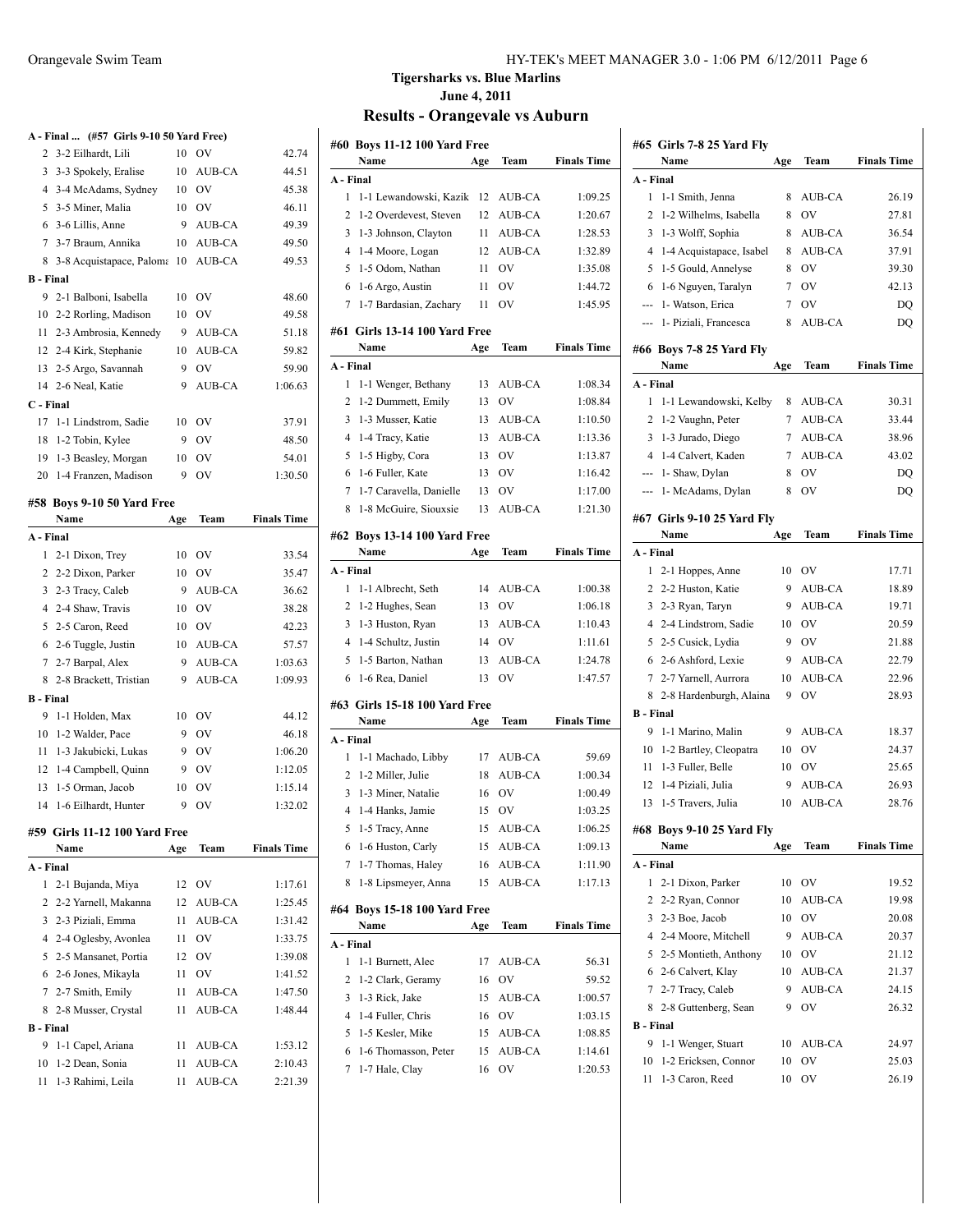|                  | A - Final  (#57 Girls 9-10 50 Yard Free) |     |               |                    |
|------------------|------------------------------------------|-----|---------------|--------------------|
| 2                | 3-2 Eilhardt, Lili                       | 10  | OV            | 42.74              |
| $\overline{3}$   | 3-3 Spokely, Eralise                     | 10  | <b>AUB-CA</b> | 44.51              |
| $\overline{4}$   | 3-4 McAdams, Sydney                      | 10  | <b>OV</b>     | 45.38              |
| 5                | 3-5 Miner, Malia                         | 10  | <b>OV</b>     | 46.11              |
| 6                | 3-6 Lillis, Anne                         | 9   | AUB-CA        | 49.39              |
| 7                | 3-7 Braum, Annika                        | 10  | AUB-CA        | 49.50              |
| 8                | 3-8 Acquistapace, Paloma                 | 10  | AUB-CA        | 49.53              |
| <b>B</b> - Final |                                          |     |               |                    |
| 9                | 2-1 Balboni, Isabella                    | 10  | OV            | 48.60              |
| 10               | 2-2 Rorling, Madison                     | 10  | <b>OV</b>     | 49.58              |
| 11               | 2-3 Ambrosia, Kennedy                    | 9   | AUB-CA        | 51.18              |
| 12               | 2-4 Kirk, Stephanie                      | 10  | AUB-CA        | 59.82              |
| 13               | 2-5 Argo, Savannah                       | 9   | OV            | 59.90              |
| 14               | 2-6 Neal, Katie                          | 9   | AUB-CA        | 1:06.63            |
| C - Final        |                                          |     |               |                    |
| 17               | 1-1 Lindstrom, Sadie                     | 10  | OV            | 37.91              |
|                  | 18 1-2 Tobin, Kylee                      | 9   | <b>OV</b>     | 48.50              |
|                  | 19 1-3 Beasley, Morgan                   | 10  | OV            | 54.01              |
|                  | 20 1-4 Franzen, Madison                  | 9   | OV            | 1:30.50            |
|                  |                                          |     |               |                    |
|                  | #58 Boys 9-10 50 Yard Free               |     |               |                    |
|                  | Name                                     | Age | Team          | <b>Finals Time</b> |
| A - Final        |                                          |     |               |                    |
| 1                | 2-1 Dixon, Trey                          | 10  | OV            | 33.54              |
| $\overline{2}$   | 2-2 Dixon, Parker                        | 10  | <b>OV</b>     | 35.47              |
| 3                | 2-3 Tracy, Caleb                         | 9   | AUB-CA        | 36.62              |
|                  | 4 2-4 Shaw, Travis                       | 10  | OV            | 38.28              |
| 5                | 2-5 Caron, Reed                          | 10  | OV            | 42.23              |
| 6                | 2-6 Tuggle, Justin                       | 10  | AUB-CA        | 57.57              |
| 7                | 2-7 Barpal, Alex                         | 9   | AUB-CA        | 1:03.63            |
| 8                | 2-8 Brackett, Tristian                   | 9   | AUB-CA        | 1:09.93            |
| <b>B</b> - Final |                                          |     |               |                    |
| 9                | 1-1 Holden, Max                          | 10  | OV            | 44.12              |
| 10               | 1-2 Walder, Pace                         | 9   | <b>OV</b>     | 46.18              |
| 11               | 1-3 Jakubicki, Lukas                     | 9   | OV            | 1:06.20            |
| 12               | 1-4 Campbell, Quinn                      | 9   | OV            | 1:12.05            |
| 13               | 1-5 Orman, Jacob                         | 10  | OV            | 1:15.14            |
| 14               | 1-6 Eilhardt, Hunter                     | 9   | OV            | 1:32.02            |
|                  |                                          |     |               |                    |
|                  | #59 Girls 11-12 100 Yard Free            |     |               |                    |
|                  | Name                                     | Age | Team          | <b>Finals Time</b> |
| A - Final        |                                          |     |               |                    |
| 1                | 2-1 Bujanda, Miya                        | 12  | OV            | 1:17.61            |
| 2                | 2-2 Yarnell, Makanna                     | 12  | AUB-CA        | 1:25.45            |
| 3                | 2-3 Piziali, Emma                        | 11  | AUB-CA        | 1:31.42            |
| 4                | 2-4 Oglesby, Avonlea                     | 11  | OV            | 1:33.75            |
| 5                | 2-5 Mansanet, Portia                     | 12  | <b>OV</b>     | 1:39.08            |
|                  | 6 2-6 Jones, Mikayla                     | 11  | OV            | 1:41.52            |
|                  | 7 2-7 Smith, Emily                       | 11  | AUB-CA        | 1:47.50            |
| 8                | 2-8 Musser, Crystal                      | 11  | AUB-CA        | 1:48.44            |
| <b>B</b> - Final |                                          |     |               |                    |
| 9.               | 1-1 Capel, Ariana                        | 11  | AUB-CA        | 1:53.12            |
| 10               | 1-2 Dean, Sonia                          | 11  | AUB-CA        | 2:10.43            |
| 11.              | 1-3 Rahimi. Leila                        | 11  | <b>AUB-CA</b> | 2:21.39            |

#### Orangevale Swim Team HY-TEK's MEET MANAGER 3.0 - 1:06 PM 6/12/2011 Page 6

# **Tigersharks vs. Blue Marlins June 4, 2011**

|                | #60 Boys 11-12 100 Yard Free<br>Name     | Age | Team      | <b>Finals Time</b> |
|----------------|------------------------------------------|-----|-----------|--------------------|
| A - Final      |                                          |     |           |                    |
| 1              | 1-1 Lewandowski, Kazik                   | 12  | AUB-CA    | 1:09.25            |
| 2              | 1-2 Overdevest, Steven                   | 12  | AUB-CA    | 1:20.67            |
| 3              | 1-3 Johnson, Clayton                     | 11  | AUB-CA    | 1:28.53            |
| 4              | 1-4 Moore, Logan                         | 12  | AUB-CA    | 1:32.89            |
| 5              | 1-5 Odom, Nathan                         | 11  | OV        | 1:35.08            |
| 6              | 1-6 Argo, Austin                         | 11  | OV        | 1:44.72            |
| 7              | 1-7 Bardasian, Zachary                   | 11  | OV        | 1:45.95            |
|                |                                          |     |           |                    |
| #61            | <b>Girls 13-14 100 Yard Free</b><br>Name | Age | Team      | <b>Finals Time</b> |
| A - Final      |                                          |     |           |                    |
| 1              | 1-1 Wenger, Bethany                      | 13  | AUB-CA    | 1:08.34            |
| 2              | 1-2 Dummett, Emily                       | 13  | OV        | 1:08.84            |
| 3              | 1-3 Musser, Katie                        | 13  | AUB-CA    | 1:10.50            |
| 4              | 1-4 Tracy, Katie                         | 13  | AUB-CA    | 1:13.36            |
| 5              | 1-5 Higby, Cora                          | 13  | OV        | 1:13.87            |
| 6              | 1-6 Fuller, Kate                         | 13  | OV        | 1:16.42            |
| 7              | 1-7 Caravella, Danielle                  | 13  | OV        | 1:17.00            |
| 8              | 1-8 McGuire, Siouxsie                    | 13  | AUB-CA    | 1:21.30            |
|                |                                          |     |           |                    |
|                | #62 Boys 13-14 100 Yard Free<br>Name     | Age | Team      | <b>Finals Time</b> |
| A - Final      |                                          |     |           |                    |
| 1              | 1-1 Albrecht, Seth                       | 14  | AUB-CA    | 1:00.38            |
| 2              | 1-2 Hughes, Sean                         | 13  | OV        | 1:06.18            |
| 3              | 1-3 Huston, Ryan                         | 13  | AUB-CA    | 1:10.43            |
| 4              | 1-4 Schultz, Justin                      | 14  | OV        | 1:11.61            |
| 5              | 1-5 Barton, Nathan                       | 13  | AUB-CA    | 1:24.78            |
| 6              | 1-6 Rea, Daniel                          | 13  | OV        | 1:47.57            |
|                |                                          |     |           |                    |
|                | #63  Girls 15-18 100 Yard Free<br>Name   | Age | Team      | <b>Finals Time</b> |
| A - Final      |                                          |     |           |                    |
| 1              | 1-1 Machado, Libby                       | 17  | AUB-CA    | 59.69              |
| 2              | 1-2 Miller, Julie                        | 18  | AUB-CA    | 1:00.34            |
| 3              | 1-3 Miner, Natalie                       | 16  | OV        | 1:00.49            |
| $\overline{4}$ | 1-4 Hanks, Jamie                         | 15  | OV        | 1:03.25            |
| 5              | 1-5 Tracy, Anne                          |     | 15 AUB-CA | 1:06.25            |
| 6              | 1-6 Huston, Carly                        | 15  | AUB-CA    | 1:09.13            |
| 7              | 1-7 Thomas, Haley                        | 16  | AUB-CA    | 1:11.90            |
| 8              | 1-8 Lipsmeyer, Anna                      | 15  | AUB-CA    | 1:17.13            |
|                |                                          |     |           |                    |
|                | #64 Boys 15-18 100 Yard Free<br>Name     | Age | Team      | <b>Finals Time</b> |
| A - Final      |                                          |     |           |                    |
| 1              | 1-1 Burnett, Alec                        | 17  | AUB-CA    | 56.31              |
| 2              | 1-2 Clark, Geramy                        | 16  | OV        | 59.52              |
| 3              | 1-3 Rick, Jake                           | 15  | AUB-CA    | 1:00.57            |
| 4              | 1-4 Fuller, Chris                        | 16  | OV        | 1:03.15            |
| 5              | 1-5 Kesler, Mike                         | 15  | AUB-CA    | 1:08.85            |
| 6              | 1-6 Thomasson, Peter                     | 15  | AUB-CA    | 1:14.61            |
| 7              | 1-7 Hale, Clay                           | 16  | OV        | 1:20.53            |
|                |                                          |     |           |                    |
|                |                                          |     |           |                    |

|                  | #65 Girls 7-8 25 Yard Fly        |     |               |                    |
|------------------|----------------------------------|-----|---------------|--------------------|
|                  | Name                             | Age | Team          | <b>Finals Time</b> |
| A - Final        |                                  |     |               |                    |
| 1                | 1-1 Smith, Jenna                 | 8   | AUB-CA        | 26.19              |
| 2                | 1-2 Wilhelms, Isabella           | 8   | OV            | 27.81              |
| 3                | 1-3 Wolff, Sophia                | 8   | AUB-CA        | 36.54              |
| 4                | 1-4 Acquistapace, Isabel         | 8   | AUB-CA        | 37.91              |
| 5                | 1-5 Gould, Annelyse              | 8   | OV            | 39.30              |
| 6                | 1-6 Nguyen, Taralyn              | 7   | <b>OV</b>     | 42.13              |
| $\overline{a}$   | 1- Watson, Erica                 | 7   | OV            | DQ                 |
| ---              | 1- Piziali, Francesca            | 8   | AUB-CA        | DQ                 |
|                  | #66 Boys 7-8 25 Yard Fly<br>Name |     | Team          | <b>Finals Time</b> |
| A - Final        |                                  | Age |               |                    |
|                  |                                  |     |               |                    |
| 1                | 1-1 Lewandowski, Kelby           | 8   | AUB-CA        | 30.31              |
| 2                | 1-2 Vaughn, Peter                | 7   | AUB-CA        | 33.44              |
| 3                | 1-3 Jurado, Diego                | 7   | AUB-CA        | 38.96              |
| 4                | 1-4 Calvert, Kaden               | 7   | AUB-CA        | 43.02              |
| ---              | 1- Shaw, Dylan                   | 8   | OV            | DQ                 |
| $\overline{a}$   | 1- McAdams, Dylan                | 8   | OV            | DO                 |
|                  | #67 Girls 9-10 25 Yard Fly       |     |               |                    |
|                  | Name                             | Age | Team          | <b>Finals Time</b> |
| A - Final        |                                  |     |               |                    |
| 1                | 2-1 Hoppes, Anne                 | 10  | OV            | 17.71              |
| 2                | 2-2 Huston, Katie                | 9   | AUB-CA        | 18.89              |
| 3                | 2-3 Ryan, Taryn                  | 9   | AUB-CA        | 19.71              |
| 4                | 2-4 Lindstrom, Sadie             | 10  | OV            | 20.59              |
| 5                | 2-5 Cusick, Lydia                | 9   | OV            | 21.88              |
| 6                | 2-6 Ashford, Lexie               | 9   | AUB-CA        | 22.79              |
| 7                | 2-7 Yarnell, Aurrora             | 10  | AUB-CA        | 22.96              |
| 8                | 2-8 Hardenburgh, Alaina          | 9   | OV            | 28.93              |
| <b>B</b> - Final |                                  |     |               |                    |
| 9                | 1-1 Marino, Malin                | 9   | AUB-CA        | 18.37              |
| 10               | 1-2 Bartley, Cleopatra           | 10  | OV            | 24.37              |
| 11               | 1-3 Fuller, Belle                | 10  | OV            | 25.65              |
| 12               | 1-4 Piziali, Julia               | 9   | AUB-CA        | 26.93              |
| 13               |                                  | 10  | <b>AUB-CA</b> | 28.76              |
|                  | 1-5 Travers, Julia               |     |               |                    |
|                  | #68 Boys 9-10 25 Yard Fly        |     |               |                    |
|                  | Name                             | Age | Team          | <b>Finals Time</b> |
| A - Final        |                                  |     |               |                    |
| 1                | 2-1 Dixon, Parker                | 10  | OV            | 19.52              |
| 2                | 2-2 Ryan, Connor                 | 10  | AUB-CA        | 19.98              |
| 3                | 2-3 Boe, Jacob                   | 10  | OV            | 20.08              |
| 4                | 2-4 Moore, Mitchell              | 9   | AUB-CA        | 20.37              |
| 5                | 2-5 Montieth, Anthony            | 10  | OV            | 21.12              |
| 6                | 2-6 Calvert, Klay                | 10  | AUB-CA        | 21.37              |
| 7                | 2-7 Tracy, Caleb                 | 9   | AUB-CA        | 24.15              |
| 8                | 2-8 Guttenberg, Sean             | 9   | OV            | 26.32              |
| <b>B</b> - Final |                                  |     |               |                    |
| 9                | 1-1 Wenger, Stuart               | 10  | AUB-CA        | 24.97              |
| 10               | 1-2 Ericksen, Connor             | 10  | OV            | 25.03              |
| 11               | 1-3 Caron, Reed                  | 10  | OV            | 26.19              |
|                  |                                  |     |               |                    |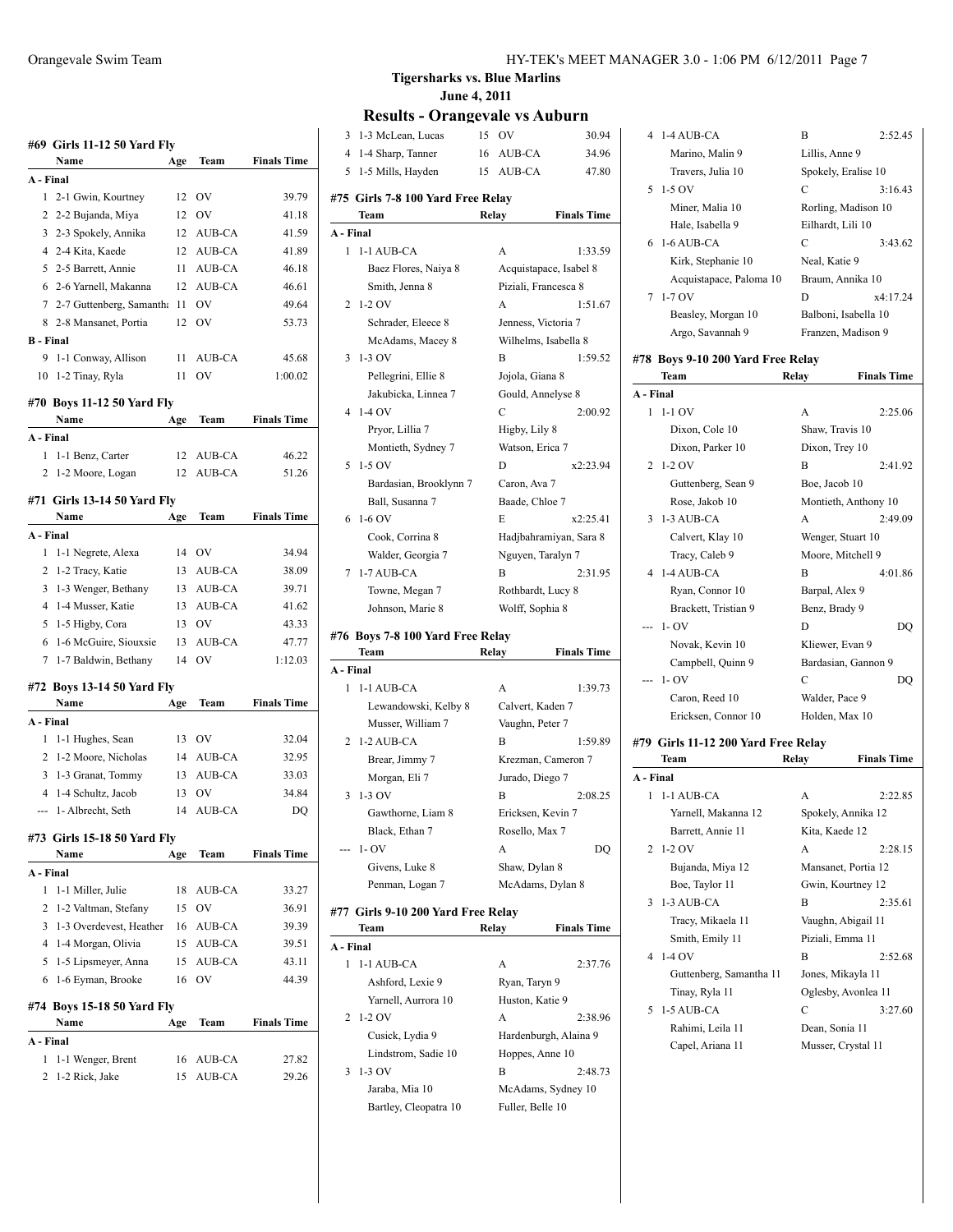|                  | #69 Girls 11-12 50 Yard Fly<br>Name | Age | Team      | <b>Finals Time</b> |
|------------------|-------------------------------------|-----|-----------|--------------------|
| A - Final        |                                     |     |           |                    |
| 1                | 2-1 Gwin, Kourtney                  | 12  | OV        | 39.79              |
| 2                | 2-2 Bujanda, Miya                   | 12  | OV        | 41.18              |
| 3                | 2-3 Spokely, Annika                 | 12  | AUB-CA    | 41.59              |
| 4                | 2-4 Kita, Kaede                     | 12  | AUB-CA    | 41.89              |
|                  | 5 2-5 Barrett, Annie                | 11  | AUB-CA    | 46.18              |
| 6                | 2-6 Yarnell, Makanna                | 12  | AUB-CA    | 46.61              |
|                  | 7 2-7 Guttenberg, Samantha          | 11  | OV        | 49.64              |
|                  | 8 2-8 Mansanet, Portia              | 12  | OV        | 53.73              |
| <b>B</b> - Final |                                     |     |           |                    |
| 9                | 1-1 Conway, Allison                 | 11  | AUB-CA    | 45.68              |
| 10               | 1-2 Tinay, Ryla                     | 11  | OV        | 1:00.02            |
|                  | #70 Boys 11-12 50 Yard Fly          |     |           |                    |
|                  | Name                                | Age | Team      | <b>Finals Time</b> |
| A - Final        |                                     |     |           |                    |
| 1                | 1-1 Benz, Carter                    | 12  | AUB-CA    | 46.22              |
| 2                | 1-2 Moore, Logan                    | 12  | AUB-CA    | 51.26              |
|                  | #71 Girls 13-14 50 Yard Fly         |     |           |                    |
|                  | Name                                | Age | Team      | <b>Finals Time</b> |
| A - Final        |                                     |     |           |                    |
| 1                | 1-1 Negrete, Alexa                  | 14  | OV        | 34.94              |
| 2                | 1-2 Tracy, Katie                    | 13  | AUB-CA    | 38.09              |
| 3                | 1-3 Wenger, Bethany                 | 13  | AUB-CA    | 39.71              |
| 4                | 1-4 Musser, Katie                   | 13  | AUB-CA    | 41.62              |
| 5                | 1-5 Higby, Cora                     | 13  | <b>OV</b> | 43.33              |
| 6                | 1-6 McGuire, Siouxsie               | 13  | AUB-CA    | 47.77              |
| 7                | 1-7 Baldwin, Bethany                | 14  | <b>OV</b> | 1:12.03            |
|                  | #72 Boys 13-14 50 Yard Fly          |     |           |                    |
|                  | Name                                | Age | Team      | <b>Finals Time</b> |
| A - Final        |                                     |     |           |                    |
| 1                | 1-1 Hughes, Sean                    | 13  | OV        | 32.04              |
| 2                | 1-2 Moore, Nicholas                 | 14  | AUB-CA    | 32.95              |
| 3                | 1-3 Granat, Tommy                   | 13  | AUB-CA    | 33.03              |
| 4                | 1-4 Schultz, Jacob                  | 13  | OV        | 34.84              |
|                  | 1-Albrecht, Seth                    | 14  | AUB-CA    | DQ                 |
|                  | #73 Girls 15-18 50 Yard Fly         |     |           |                    |
|                  | Name                                | Age | Team      | <b>Finals Time</b> |
| A - Final        |                                     |     |           |                    |
| 1                | 1-1 Miller, Julie                   | 18  | AUB-CA    | 33.27              |
| 2                | 1-2 Valtman, Stefany                | 15  | OV        | 36.91              |
| 3                | 1-3 Overdevest, Heather             | 16  | AUB-CA    | 39.39              |
| 4                | 1-4 Morgan, Olivia                  | 15  | AUB-CA    | 39.51              |
| 5                | 1-5 Lipsmeyer, Anna                 | 15  | AUB-CA    | 43.11              |
| 6                | 1-6 Eyman, Brooke                   | 16  | OV        | 44.39              |
|                  | #74 Boys 15-18 50 Yard Fly          |     |           |                    |
|                  | Name                                | Age | Team      | <b>Finals Time</b> |
| A - Final        |                                     |     |           |                    |
| 1                | 1-1 Wenger, Brent                   | 16  | AUB-CA    | 27.82              |
| 2                | 1-2 Rick, Jake                      | 15  | AUB-CA    | 29.26              |

| $\overline{4}$<br>1-4 Sharp, Tanner<br>16<br>AUB-CA<br>1-5 Mills, Hayden<br>AUB-CA<br>5<br>15<br>#75  Girls 7-8 100 Yard Free Relay<br>Team<br>Relay<br>A - Final<br>$\mathbf{1}$<br>1-1 AUB-CA<br>A<br>Baez Flores, Naiya 8<br>Acquistapace, Isabel 8<br>Smith, Jenna 8<br>Piziali, Francesca 8<br>$1-2$ OV<br>2<br>A<br>Schrader, Eleece 8<br>Jenness, Victoria 7<br>Wilhelms, Isabella 8<br>McAdams, Macey 8<br>3<br>$1-3$ OV<br>B<br>Pellegrini, Ellie 8<br>Jojola, Giana 8<br>Jakubicka, Linnea 7<br>Gould, Annelyse 8 | 34.96<br>47.80<br><b>Finals Time</b><br>1:33.59<br>1:51.67<br>1:59.52 |   |          | 15 | OV | 30.94 |
|-----------------------------------------------------------------------------------------------------------------------------------------------------------------------------------------------------------------------------------------------------------------------------------------------------------------------------------------------------------------------------------------------------------------------------------------------------------------------------------------------------------------------------|-----------------------------------------------------------------------|---|----------|----|----|-------|
|                                                                                                                                                                                                                                                                                                                                                                                                                                                                                                                             |                                                                       |   |          |    |    |       |
|                                                                                                                                                                                                                                                                                                                                                                                                                                                                                                                             |                                                                       |   |          |    |    |       |
|                                                                                                                                                                                                                                                                                                                                                                                                                                                                                                                             |                                                                       |   |          |    |    |       |
|                                                                                                                                                                                                                                                                                                                                                                                                                                                                                                                             |                                                                       |   |          |    |    |       |
|                                                                                                                                                                                                                                                                                                                                                                                                                                                                                                                             |                                                                       |   |          |    |    |       |
|                                                                                                                                                                                                                                                                                                                                                                                                                                                                                                                             |                                                                       |   |          |    |    |       |
|                                                                                                                                                                                                                                                                                                                                                                                                                                                                                                                             |                                                                       |   |          |    |    |       |
|                                                                                                                                                                                                                                                                                                                                                                                                                                                                                                                             |                                                                       |   |          |    |    |       |
|                                                                                                                                                                                                                                                                                                                                                                                                                                                                                                                             |                                                                       |   |          |    |    |       |
|                                                                                                                                                                                                                                                                                                                                                                                                                                                                                                                             |                                                                       |   |          |    |    |       |
|                                                                                                                                                                                                                                                                                                                                                                                                                                                                                                                             |                                                                       |   |          |    |    |       |
|                                                                                                                                                                                                                                                                                                                                                                                                                                                                                                                             |                                                                       |   |          |    |    |       |
|                                                                                                                                                                                                                                                                                                                                                                                                                                                                                                                             |                                                                       |   |          |    |    |       |
|                                                                                                                                                                                                                                                                                                                                                                                                                                                                                                                             |                                                                       |   |          |    |    |       |
|                                                                                                                                                                                                                                                                                                                                                                                                                                                                                                                             | 2:00.92                                                               | 4 | $1-4$ OV |    | С  |       |
| Pryor, Lillia 7<br>Higby, Lily 8                                                                                                                                                                                                                                                                                                                                                                                                                                                                                            |                                                                       |   |          |    |    |       |
| Montieth, Sydney 7                                                                                                                                                                                                                                                                                                                                                                                                                                                                                                          |                                                                       |   |          |    |    |       |
| 5<br>$1-5$ OV<br>D                                                                                                                                                                                                                                                                                                                                                                                                                                                                                                          |                                                                       |   |          |    |    |       |
| Bardasian, Brooklynn 7                                                                                                                                                                                                                                                                                                                                                                                                                                                                                                      | Watson, Erica 7                                                       |   |          |    |    |       |
| Ball, Susanna 7                                                                                                                                                                                                                                                                                                                                                                                                                                                                                                             | x2:23.94                                                              |   |          |    |    |       |
| $1-6$ OV<br>6<br>E                                                                                                                                                                                                                                                                                                                                                                                                                                                                                                          | Caron, Ava 7                                                          |   |          |    |    |       |
| Cook, Corrina 8                                                                                                                                                                                                                                                                                                                                                                                                                                                                                                             | Baade, Chloe 7                                                        |   |          |    |    |       |
| Walder, Georgia 7                                                                                                                                                                                                                                                                                                                                                                                                                                                                                                           | x2:25.41                                                              |   |          |    |    |       |
| 1-7 AUB-CA<br>7<br>В                                                                                                                                                                                                                                                                                                                                                                                                                                                                                                        | Hadjbahramiyan, Sara 8                                                |   |          |    |    |       |
| Towne, Megan 7                                                                                                                                                                                                                                                                                                                                                                                                                                                                                                              | Nguyen, Taralyn 7                                                     |   |          |    |    |       |
| Johnson, Marie 8                                                                                                                                                                                                                                                                                                                                                                                                                                                                                                            | 2:31.95                                                               |   |          |    |    |       |
|                                                                                                                                                                                                                                                                                                                                                                                                                                                                                                                             | Rothbardt, Lucy 8                                                     |   |          |    |    |       |
|                                                                                                                                                                                                                                                                                                                                                                                                                                                                                                                             | Wolff, Sophia 8                                                       |   |          |    |    |       |
| #76  Boys 7-8 100 Yard Free Relay                                                                                                                                                                                                                                                                                                                                                                                                                                                                                           |                                                                       |   |          |    |    |       |
| Team<br>Relay                                                                                                                                                                                                                                                                                                                                                                                                                                                                                                               | <b>Finals Time</b>                                                    |   |          |    |    |       |
| A - Final                                                                                                                                                                                                                                                                                                                                                                                                                                                                                                                   |                                                                       |   |          |    |    |       |
| 1<br>1-1 AUB-CA<br>A                                                                                                                                                                                                                                                                                                                                                                                                                                                                                                        | 1:39.73                                                               |   |          |    |    |       |
| Lewandowski, Kelby 8<br>Calvert, Kaden 7                                                                                                                                                                                                                                                                                                                                                                                                                                                                                    |                                                                       |   |          |    |    |       |
| Musser, William 7<br>Vaughn, Peter 7                                                                                                                                                                                                                                                                                                                                                                                                                                                                                        |                                                                       |   |          |    |    |       |
| 1-2 AUB-CA<br>2<br>В                                                                                                                                                                                                                                                                                                                                                                                                                                                                                                        | 1:59.89                                                               |   |          |    |    |       |
| Brear, Jimmy 7<br>Krezman, Cameron 7                                                                                                                                                                                                                                                                                                                                                                                                                                                                                        |                                                                       |   |          |    |    |       |
| Morgan, Eli 7<br>Jurado, Diego 7                                                                                                                                                                                                                                                                                                                                                                                                                                                                                            |                                                                       |   |          |    |    |       |
| $1-3$ OV<br>3<br>В                                                                                                                                                                                                                                                                                                                                                                                                                                                                                                          | 2:08.25                                                               |   |          |    |    |       |
| Gawthorne, Liam 8<br>Ericksen, Kevin 7                                                                                                                                                                                                                                                                                                                                                                                                                                                                                      |                                                                       |   |          |    |    |       |
| Black, Ethan 7<br>Rosello, Max 7                                                                                                                                                                                                                                                                                                                                                                                                                                                                                            |                                                                       |   |          |    |    |       |
| $1 - OV$<br>А                                                                                                                                                                                                                                                                                                                                                                                                                                                                                                               | DQ                                                                    |   |          |    |    |       |
| Givens, Luke 8<br>Shaw, Dylan 8                                                                                                                                                                                                                                                                                                                                                                                                                                                                                             |                                                                       |   |          |    |    |       |
| Penman, Logan 7<br>McAdams, Dylan 8                                                                                                                                                                                                                                                                                                                                                                                                                                                                                         |                                                                       |   |          |    |    |       |
| #77 Girls 9-10 200 Yard Free Relay                                                                                                                                                                                                                                                                                                                                                                                                                                                                                          |                                                                       |   |          |    |    |       |
| Team<br>Relay                                                                                                                                                                                                                                                                                                                                                                                                                                                                                                               | <b>Finals Time</b>                                                    |   |          |    |    |       |
| A - Final                                                                                                                                                                                                                                                                                                                                                                                                                                                                                                                   |                                                                       |   |          |    |    |       |
| 1<br>1-1 AUB-CA<br>A                                                                                                                                                                                                                                                                                                                                                                                                                                                                                                        | 2:37.76                                                               |   |          |    |    |       |
| Ashford, Lexie 9<br>Ryan, Taryn 9                                                                                                                                                                                                                                                                                                                                                                                                                                                                                           |                                                                       |   |          |    |    |       |
| Yarnell, Aurrora 10<br>Huston, Katie 9                                                                                                                                                                                                                                                                                                                                                                                                                                                                                      |                                                                       |   |          |    |    |       |
| $1-2$ OV<br>2<br>А                                                                                                                                                                                                                                                                                                                                                                                                                                                                                                          | 2:38.96                                                               |   |          |    |    |       |
| Cusick, Lydia 9<br>Hardenburgh, Alaina 9                                                                                                                                                                                                                                                                                                                                                                                                                                                                                    |                                                                       |   |          |    |    |       |
| Lindstrom, Sadie 10<br>Hoppes, Anne 10                                                                                                                                                                                                                                                                                                                                                                                                                                                                                      |                                                                       |   |          |    |    |       |
| 1-3 OV<br>3<br>В                                                                                                                                                                                                                                                                                                                                                                                                                                                                                                            | 2:48.73                                                               |   |          |    |    |       |
| Jaraba, Mia 10<br>McAdams, Sydney 10                                                                                                                                                                                                                                                                                                                                                                                                                                                                                        |                                                                       |   |          |    |    |       |
|                                                                                                                                                                                                                                                                                                                                                                                                                                                                                                                             |                                                                       |   |          |    |    |       |
|                                                                                                                                                                                                                                                                                                                                                                                                                                                                                                                             |                                                                       |   |          |    |    |       |
|                                                                                                                                                                                                                                                                                                                                                                                                                                                                                                                             |                                                                       |   |          |    |    |       |
|                                                                                                                                                                                                                                                                                                                                                                                                                                                                                                                             |                                                                       |   |          |    |    |       |
|                                                                                                                                                                                                                                                                                                                                                                                                                                                                                                                             |                                                                       |   |          |    |    |       |
|                                                                                                                                                                                                                                                                                                                                                                                                                                                                                                                             |                                                                       |   |          |    |    |       |
|                                                                                                                                                                                                                                                                                                                                                                                                                                                                                                                             |                                                                       |   |          |    |    |       |
|                                                                                                                                                                                                                                                                                                                                                                                                                                                                                                                             |                                                                       |   |          |    |    |       |
|                                                                                                                                                                                                                                                                                                                                                                                                                                                                                                                             |                                                                       |   |          |    |    |       |
|                                                                                                                                                                                                                                                                                                                                                                                                                                                                                                                             |                                                                       |   |          |    |    |       |
|                                                                                                                                                                                                                                                                                                                                                                                                                                                                                                                             |                                                                       |   |          |    |    |       |
| 1-3 McLean, Lucas<br>3                                                                                                                                                                                                                                                                                                                                                                                                                                                                                                      |                                                                       |   |          |    |    |       |

| 4         | 1-4 AUB-CA                                | В<br>2:52.45                             |
|-----------|-------------------------------------------|------------------------------------------|
|           | Marino, Malin 9                           | Lillis, Anne 9                           |
|           | Travers, Julia 10                         | Spokely, Eralise 10                      |
| 5         | $1-5$ OV                                  | C<br>3:16.43                             |
|           | Miner, Malia 10                           | Rorling, Madison 10                      |
|           | Hale, Isabella 9                          | Eilhardt, Lili 10                        |
| 6         | $1-6$ AUB-CA                              | С<br>3:43.62                             |
|           | Kirk, Stephanie 10                        | Neal, Katie 9                            |
|           | Acquistapace, Paloma 10                   | Braum, Annika 10                         |
| 7         | $1-7$ OV                                  | D<br>x4:17.24                            |
|           | Beasley, Morgan 10                        | Balboni, Isabella 10                     |
|           | Argo, Savannah 9                          | Franzen, Madison 9                       |
|           |                                           |                                          |
|           | #78 Boys 9-10 200 Yard Free Relay<br>Team | Relay<br><b>Finals Time</b>              |
| A - Final |                                           |                                          |
| 1         | $1-1$ OV                                  | A<br>2:25.06                             |
|           | Dixon, Cole 10                            | Shaw, Travis 10                          |
|           | Dixon, Parker 10                          | Dixon, Trey 10                           |
| 2         | $1-2$ OV                                  | B<br>2:41.92                             |
|           | Guttenberg, Sean 9                        | Boe, Jacob 10                            |
|           | Rose, Jakob 10                            | Montieth, Anthony 10                     |
| 3         | 1-3 AUB-CA                                | 2:49.09<br>A                             |
|           | Calvert, Klay 10                          | Wenger, Stuart 10                        |
|           | Tracy, Caleb 9                            | Moore, Mitchell 9                        |
| 4         | 1-4 AUB-CA                                | B<br>4:01.86                             |
|           | Ryan, Connor 10                           | Barpal, Alex 9                           |
|           | Brackett, Tristian 9                      | Benz, Brady 9                            |
| ---       | $1 - OV$                                  | D<br>DQ                                  |
|           | Novak, Kevin 10                           | Kliewer, Evan 9                          |
|           | Campbell, Quinn 9                         | Bardasian, Gannon 9                      |
| ---       | $1 - OV$                                  | С<br>DQ                                  |
|           | Caron, Reed 10                            | Walder, Pace 9                           |
|           | Ericksen, Connor 10                       | Holden, Max 10                           |
|           |                                           |                                          |
|           | #79 Girls 11-12 200 Yard Free Relay       |                                          |
|           | Team                                      | <b>Finals Time</b><br>Relay              |
| A - Final |                                           |                                          |
| 1         | 1-1 AUB-CA<br>Yarnell, Makanna 12         | 2:22.85<br>А                             |
|           |                                           | Spokely, Annika 12                       |
| 2         | Barrett, Annie 11<br>1-2 OV               | Kita, Kaede 12<br>A<br>2:28.15           |
|           |                                           |                                          |
|           | Bujanda, Miya 12                          | Mansanet, Portia 12<br>Gwin, Kourtney 12 |
| 3         | Boe, Taylor 11<br>1-3 AUB-CA              | B<br>2:35.61                             |
|           | Tracy, Mikaela 11                         | Vaughn, Abigail 11                       |
|           | Smith, Emily 11                           |                                          |
| 4         | 1-4 OV                                    | Piziali, Emma 11<br>B<br>2:52.68         |
|           |                                           |                                          |
|           | Guttenberg, Samantha 11                   | Jones, Mikayla 11                        |
| 5         | Tinay, Ryla 11<br>1-5 AUB-CA              | Oglesby, Avonlea 11<br>C<br>3:27.60      |
|           | Rahimi, Leila 11                          | Dean, Sonia 11                           |
|           | Capel, Ariana 11                          | Musser, Crystal 11                       |
|           |                                           |                                          |
|           |                                           |                                          |